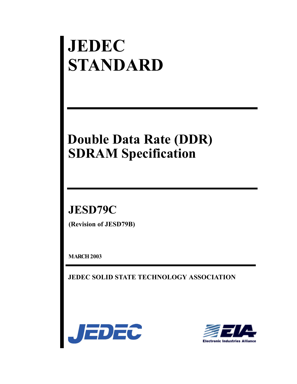# **JEDEC STANDARD**

## **Double Data Rate (DDR) SDRAM Specification**

**JESD79C (Revision of JESD79B)**

**MARCH2003**

**JEDEC SOLID STATE TECHNOLOGY ASSOCIATION**



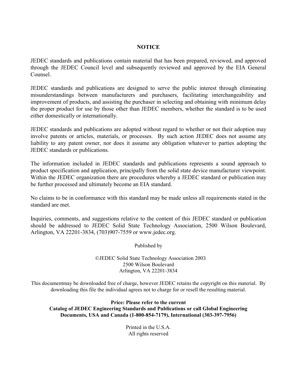## **NOTICE**

JEDEC standards and publications contain material that has been prepared, reviewed, and approved through the JEDEC Council level and subsequently reviewed and approved by the EIA General Counsel.

JEDEC standards and publications are designed to serve the public interest through eliminating misunderstandings between manufacturers and purchasers, facilitating interchangeability and improvement of products, and assisting the purchaser in selecting and obtaining with minimum delay the proper product for use by those other than JEDEC members, whether the standard is to be used either domestically or internationally.

JEDEC standards and publications are adopted without regard to whether or not their adoption may involve patents or articles, materials, or processes. By such action JEDEC does not assume any liability to any patent owner, nor does it assume any obligation whatever to parties adopting the JEDEC standards or publications.

The information included in JEDEC standards and publications represents a sound approach to product specification and application, principally from the solid state device manufacturer viewpoint. Within the JEDEC organization there are procedures whereby a JEDEC standard or publication may be further processed and ultimately become an EIA standard.

No claims to be in conformance with this standard may be made unless all requirements stated in the standard are met.

Inquiries, comments, and suggestions relative to the content of this JEDEC standard or publication should be addressed to JEDEC Solid State Technology Association, 2500 Wilson Boulevard, Arlington, VA 22201-3834, (703)907-7559 or www.jedec.org.

Published by

©JEDEC Solid State Technology Association 2003 2500 Wilson Boulevard Arlington, VA 22201-3834

This documentmay be downloaded free of charge, however JEDEC retains the copyright on this material. By downloading this file the individual agrees not to charge for or resell the resulting material.

**Price: Please refer to the current Catalog of JEDEC Engineering Standards and Publications or call Global Engineering Documents, USA and Canada (1-800-854-7179), International (303-397-7956)**

> Printed in the U.S.A. All rights reserved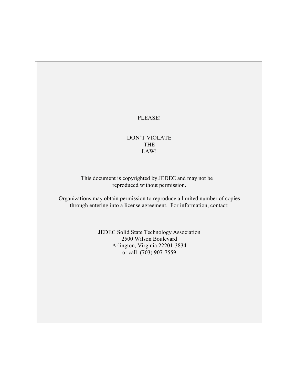## PLEASE!

DON'T VIOLATE THE LAW!

This document is copyrighted by JEDEC and may not be reproduced without permission.

Organizations may obtain permission to reproduce a limited number of copies through entering into a license agreement. For information, contact:

> JEDEC Solid State Technology Association 2500 Wilson Boulevard Arlington, Virginia 22201-3834 or call (703) 907-7559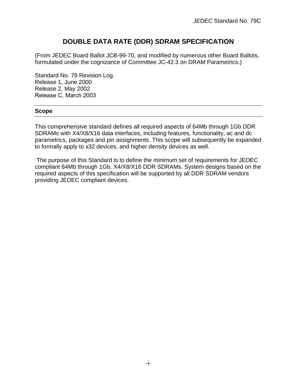## **DOUBLE DATA RATE (DDR) SDRAM SPECIFICATION**

(From JEDEC Board Ballot JCB-99-70, and modified by numerous other Board Ballots, formulated under the cognizance of Committee JC-42.3 on DRAM Parametrics.)

Standard No. 79 Revision Log. Release 1, June 2000 Release 2, May 2002 Release C, March 2003

## **Scope**

This comprehensive standard defines all required aspects of 64Mb through 1Gb DDR SDRAMs with X4/X8/X16 data interfaces, including features, functionality, ac and dc parametrics, packages and pin assignments. This scope will subsequently be expanded to formally apply to x32 devices, and higher density devices as well.

 The purpose of this Standard is to define the minimum set of requirements for JEDEC compliant 64Mb through 1Gb, X4/X8/X16 DDR SDRAMs. System designs based on the required aspects of this specification will be supported by all DDR SDRAM vendors providing JEDEC compliant devices.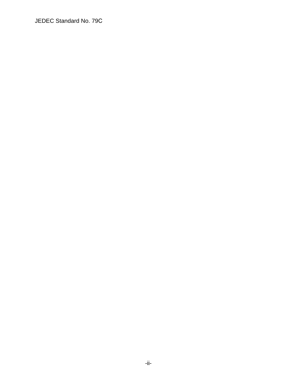JEDEC Standard No. 79C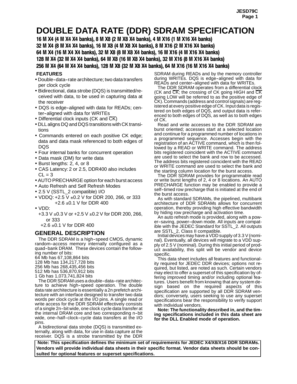## **DOUBLE DATA RATE (DDR) SDRAM SPECIFICATION**

**16 M X4 (4 M X4 X4 banks), 8 M X8 (2 M X8 X4 banks), 4 M X16 (1 M X16 X4 banks) 32 M X4 (8 M X4 X4 banks), 16 M X8 (4 M X8 X4 banks), 8 M X16 (2 M X16 X4 banks) 64 M X4 (16 M X4 X4 banks), 32 M X8 (8 M X8 X4 banks), 16 M X16 (4 M X16 X4 banks) 128 M X4 (32 M X4 X4 banks), 64 M X8 (16 M X8 X4 banks), 32 M X16 (8 M X16 X4 banks) 256 M X4 (64 M X4 X4 banks), 128 M X8 (32 M X8 X4 banks), 64 M X16 (16 M X16 X4 banks)**

#### **FEATURES**

- Double-data-rate architecture; two data transfers per clock cycle
- Bidirectional, data strobe (DQS) is transmitted/received with data, to be used in capturing data at the receiver
- DQS is edge-aligned with data for READs; center-aligned with data for WRITEs
- Differential clock inputs (CK and  $\overline{CK}$ )
- DLL aligns DQ and DQS transitions with CK transitions
- Commands entered on each positive CK edge; data and data mask referenced to both edges of DQS
- Four internal banks for concurrent operation
- Data mask (DM) for write data
- Burst lengths: 2, 4, or 8
- CAS Latency: 2 or 2.5, DDR400 also includes  $CL = 3$
- •AUTO PRECHARGE option for each burst access
- Auto Refresh and Self Refresh Modes
- 2.5 V (SSTL\_2 compatible) I/O
- VDDQ: +2.5 V ±0.2 V for DDR 200, 266, or 333  $+2.6 \pm 0.1$  V for DDR 400
- VDD:
- +3.3 V  $\pm$ 0.3 V or +2.5 V  $\pm$ 0.2 V for DDR 200, 266, or 333

 $+2.6 \pm 0.1$  V for DDR 400

## **GENERAL DESCRIPTION**

The DDR SDRAM is a high-speed CMOS, dynamic random-access memory internally configured as a quad-bank DRAM. These devices contain the following number of bits:

64 Mb has 67,108,864 bits 128 Mb has 134,217,728 bits 256 Mb has 268,435,456 bits 512 Mb has 536,870,912 bits

1 Gb has 1,073,741,824 bits

The DDR SDRAM uses a double-data-rate architecture to achieve high-speed operation. The double data rate architecture is essentially a 2n prefetch architecture with an interface designed to transfer two data words per clock cycle at the I/O pins. A single read or write access for the DDR SDRAM effectively consists of a single 2n--bit wide, one clock cycle data transfer at the internal DRAM core and two corresponding n--bit wide, one-half-clock-cycle data transfers at the I/O pins.

A bidirectional data strobe (DQS) is transmitted externally, along with data, for use in data capture at the receiver. DQS is a strobe transmitted by the DDR SDRAM during READs and by the memory controller during WRITEs. DQS is edge-aligned with data for READs and center-aligned with data for WRITEs.

The DDR SDRAM operates from a differential clock (CK and CK; the crossing of CK going HIGH and CK going LOW will be referred to as the positive edge of CK). Commands (address and control signals) are registered at every positive edge of CK. Input data is registered on both edges of DQS, and output data is referenced to both edges of DQS, as well as to both edges of CK.

Read and write accesses to the DDR SDRAM are burst oriented; accesses start at a selected location and continue for a programmed number of locations in a programmed sequence. Accesses begin with the registration of an ACTIVE command, which is then followed by a READ or WRITE command. The address bits registered coincident with the ACTIVE command are used to select the bank and row to be accessed. The address bits registered coincident with the READ or WRITE command are used to select the bank and the starting column location for the burst access.

The DDR SDRAM provides for programmable read or write burst lengths of 2, 4 or 8 locations. An AUTO PRECHARGE function may be enabled to provide a self-timed row precharge that is initiated at the end of the burst access.

As with standard SDRAMs, the pipelined, multibank architecture of DDR SDRAMs allows for concurrent operation, thereby providing high effective bandwidth by hiding row precharge and activation time.

An auto refresh mode is provided, along with a power-saving, power-down mode. All inputs are compatible with the JEDEC Standard for SSTL\_2. All outputs are SSTL\_2, Class II compatible.

Initial devices may have a VDD supply of 3.3 V (nominal). Eventually, all devices will migrate to a VDD supply of 2.5 V (nominal). During this initial period of product availability, this split will be vendor and device specific.

This data sheet includes all features and functionality required for JEDEC DDR devices; options not required, but listed, are noted as such. Certain vendors may elect to offer a superset of this specification by offering improved timing and/or including optional features. Users benefit from knowing that any system design based on the required aspects of this specification are supported by all DDR SDRAM vendors; conversely, users seeking to use any superset specifications bear the responsibility to verify support with individual vendors.

**Note: The functionality described in, and the timing specifications included in this data sheet are for the DLL Enabled mode of operation.**

**Note: This specification defines the minimum set of requirements for JEDEC X4/X8/X16 DDR SDRAMs. Vendors will provide individual data sheets in their specific format. Vendor data sheets should be consulted for optional features or superset specifications.**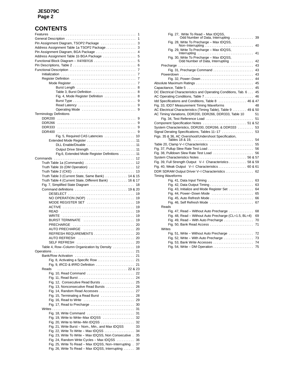#### **JESD79C Page 2**

## **CONTENTS**

| 1<br>Features                                                                                                         |
|-----------------------------------------------------------------------------------------------------------------------|
| 1                                                                                                                     |
| Pin Assignment Diagram, TSOP2 Package<br>3                                                                            |
| Address Assignment Table 1a TSOP2 Package<br>3                                                                        |
| Pin Assignment Diagram, BGA Package<br>4                                                                              |
| Address Assignment Table 1b BGA Package<br>5                                                                          |
| Functional Block Diagram - X4/X8/X16<br>5                                                                             |
| 6                                                                                                                     |
| 7                                                                                                                     |
| 7                                                                                                                     |
|                                                                                                                       |
| 7                                                                                                                     |
| 7                                                                                                                     |
| Burst Length $\ldots \ldots \ldots \ldots \ldots \ldots \ldots \ldots \ldots \ldots$<br>8                             |
| Table 3, Burst Definition<br>8                                                                                        |
| Fig. 4, Mode Register Definition<br>8                                                                                 |
| 9                                                                                                                     |
| Read Latency<br>9                                                                                                     |
| Operating Mode<br>9                                                                                                   |
| <b>Terminology Definitions</b>                                                                                        |
| <b>DDR200</b><br>9                                                                                                    |
| <b>DDR266</b><br>9                                                                                                    |
| DDR333<br>9                                                                                                           |
| <b>DDR400</b>                                                                                                         |
| 9                                                                                                                     |
| Fig. 5, Required CAS Latencies<br>10                                                                                  |
|                                                                                                                       |
| DLL Enable/Disable 11                                                                                                 |
|                                                                                                                       |
| Fig.6, Extended Mode Register Definitions  11                                                                         |
| 12                                                                                                                    |
| Truth Table 1a (Commands)<br>12                                                                                       |
| Truth Table 1b (DM Operation)<br>12                                                                                   |
| 13                                                                                                                    |
| Truth Table 3 (Current State, Same Bank)  14 & 15                                                                     |
|                                                                                                                       |
| Truth Table 4 (Current State, Different Bank)  16 & 17                                                                |
| Fig. 7, Simplified State Diagram<br>18                                                                                |
|                                                                                                                       |
| 19                                                                                                                    |
| $NO$ OPERATION (NOP) $\ldots \ldots \ldots \ldots \ldots \ldots \ldots \ldots$<br>19                                  |
| MODE REGISTER SET<br>19                                                                                               |
| 19                                                                                                                    |
| 19                                                                                                                    |
| <b>WRITE</b><br>19                                                                                                    |
| BURST TERMINATE<br>19                                                                                                 |
| PRECHARGE<br>20                                                                                                       |
| <b>AUTO PRECHARGE</b><br>20                                                                                           |
| REFRESH REQUIREMENTS<br>20                                                                                            |
|                                                                                                                       |
|                                                                                                                       |
|                                                                                                                       |
| Table 4, Row-Column Organization by Density<br>19                                                                     |
| 21                                                                                                                    |
|                                                                                                                       |
|                                                                                                                       |
| Fig. 9, tRCD & tRRD Definition $\ldots \ldots \ldots \ldots \ldots \ldots$<br>21                                      |
| Reads                                                                                                                 |
| Fig. 10, Read Command $\ldots \ldots \ldots \ldots \ldots \ldots \ldots \ldots$<br>22                                 |
| 24                                                                                                                    |
| Fig. 12, Consecutive Read Bursts<br>25                                                                                |
| Fig. 13, Nonconsecutive Read Bursts<br>26                                                                             |
| Fig. 14, Random Read Accesses<br>27                                                                                   |
|                                                                                                                       |
| Fig. 15, Terminating a Read Burst<br>28                                                                               |
| Fig. 16, Read to Write<br>29                                                                                          |
| Fig. 17, Read to Precharge<br>30                                                                                      |
| 31                                                                                                                    |
| Fig. 18, Write Command<br>31                                                                                          |
| Fig. 19, Write to Write-Max tDQSS<br>32                                                                               |
| Fig. 20, Write to Write-Min tDQSS<br>32                                                                               |
| Fig. 21, Write Burst - Nom., Min., and Max tDQSS<br>33                                                                |
| Fig. 22, Write To Write - Max tDQSS<br>34                                                                             |
| Fig. 23, Write To Write - Max tDQSS, Non Consecutive . 35                                                             |
|                                                                                                                       |
|                                                                                                                       |
| Fig. 24, Random Write Cycles - Max tDQSS<br>36                                                                        |
| Fig. 25, Write To Read - Max tDQSS, Non-Interrupting.<br>37<br>Fig. 26, Write To Read - Max tDQSS, Interrupting<br>38 |

| Fig. 27, Write To Read - Max tDQSS,<br>Odd Number of Data, Interrupting<br>39                                                 |
|-------------------------------------------------------------------------------------------------------------------------------|
| Fig. 28, Write To Precharge - Max tDQSS,<br>40                                                                                |
| Non-Interrupting $\ldots \ldots \ldots \ldots \ldots \ldots \ldots \ldots \ldots$<br>Fig. 29, Write To Precharge - Max tDQSS, |
| 41<br>Interrupting $\ldots \ldots \ldots \ldots \ldots$<br>.                                                                  |
| Fig. 30, Write To Precharge - Max tDQSS,<br>Odd Number of Data, Interrupting<br>42                                            |
| 43                                                                                                                            |
| 43<br>Fig. 31, Precharge Command $\ldots$                                                                                     |
| 43                                                                                                                            |
| 44                                                                                                                            |
| 45                                                                                                                            |
| 45                                                                                                                            |
| DC Electrical Characteristics and Operating Conditions, Tab. 6<br>45                                                          |
| AC Operating Conditions, Table 7<br>46                                                                                        |
| Idd Specifications and Conditions, Table 8  46 & 47                                                                           |
| Fig. 33, IDD7 Measurement Timing Waveforms<br>48                                                                              |
| AC Electrical Characteristics (Timing Table), Table 9  49 & 50                                                                |
| AC Timing Variations, DDR200, DDR266, DDR333, Table 10<br>51                                                                  |
| Fig. 34, Test Reference Load<br>51                                                                                            |
|                                                                                                                               |
| System Characteristics, DDR200, DDR266, & DDR333<br>53                                                                        |
| Signal Derating Specifications, Tables 11-17<br>53                                                                            |
| Figs. 35 & 36, AC Overshoot/Undershoot Specification,                                                                         |
| Tables 18 & 19,<br>54                                                                                                         |
|                                                                                                                               |
| Table 20, Clamp V-I Characteristics<br>55                                                                                     |
| 56                                                                                                                            |
| Fig. 38, Pulldown Slew Rate Test Load<br>56                                                                                   |
|                                                                                                                               |
| Fig. 39, Full Strength Output V-I Characteristics 58 & 59                                                                     |
|                                                                                                                               |
| 62                                                                                                                            |
| DDR SDRAM Output Driver V-I Characteristics<br><b>Timing Waveforms</b>                                                        |
| Fig. 41, Data Input Timing<br>63                                                                                              |
| Fig. 42, Data Output Timing<br>63                                                                                             |
| Fig. 43, Initialize and Mode Register Set<br>64                                                                               |
| Fig. 44, Power-Down Mode $\dots\dots\dots\dots\dots\dots\dots\dots$<br>65                                                     |
| Fig. 45, Auto Refresh Mode $\ldots \ldots \ldots \ldots \ldots \ldots \ldots$<br>66                                           |
| 67                                                                                                                            |
| Reads                                                                                                                         |
| Fig. 47, Read - Without Auto Precharge<br>68                                                                                  |
| Fig. 48, Read - Without Auto Precharge (CL=1.5, BL=4)<br>69                                                                   |
| Fig. 49, Read - With Auto Precharge<br>70                                                                                     |
| Fig. 50, Bank Read Access<br>71                                                                                               |
| Writes                                                                                                                        |
| Fig. 51, Write - Without Auto Precharge<br>72                                                                                 |
| Fig. 52, Write - With Auto Precharge<br>73                                                                                    |
| Fig. 53, Bank Write Accesses<br>74<br>75                                                                                      |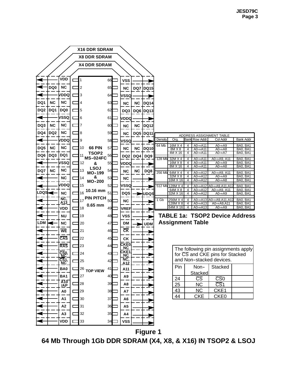

**64 Mb Through 1Gb DDR SDRAM (X4, X8, & X16) IN TSOP2 & LSOJ**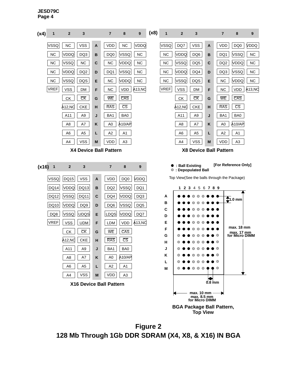

**Figure 2 128 Mb Through 1Gb DDR SDRAM (X4, X8, & X16) IN BGA**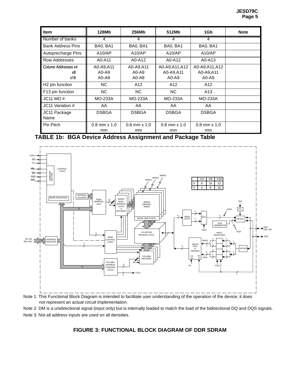| <b>Item</b>                      | 128Mb                                  | 256Mb                             | 512Mb                                  | 1Gb                                    | <b>Note</b> |
|----------------------------------|----------------------------------------|-----------------------------------|----------------------------------------|----------------------------------------|-------------|
| Number of banks                  | 4                                      | 4                                 | 4                                      | 4                                      |             |
| <b>Bank Address Pins</b>         | BA0, BA1                               | BA0, BA1                          | BA0, BA1                               | BA0, BA1                               |             |
| Autoprecharge Pins               | A10/AP                                 | A10/AP                            | A10/AP                                 | A10/AP                                 |             |
| Row Addresses                    | A0-A11                                 | A0-A12                            | A0-A12                                 | A0-A13                                 |             |
| Column Addresses x4<br>х8<br>x16 | A0-A9,A11<br>$A0-A9$<br>$AO-AB$        | A0-A9,A11<br>$A0-A9$<br>$A0 - A8$ | A0-A9,A11,A12<br>A0-A9,A11<br>$A0-A9$  | A0-A9,A11,A12<br>A0-A9,A11<br>$A0-A9$  |             |
| H <sub>2</sub> pin function      | NC.                                    | A12                               | A12                                    | A12                                    |             |
| F13 pin function                 | NC.                                    | NC.                               | NC.                                    | A13                                    |             |
| JC11 MO #                        | <b>MO-233A</b>                         | MO-233A                           | MO-233A                                | MO-233A                                |             |
| JC11 Variation #                 | AA.                                    | AA                                | AA                                     | AA.                                    |             |
| JC11 Package<br>Name             | <b>DSBGA</b>                           | <b>DSBGA</b>                      | <b>DSBGA</b>                           | <b>DSBGA</b>                           |             |
| Pin Pitch                        | $0.8$ mm $\times$ 1.0<br><sub>mm</sub> | $0.8$ mm $\times 1.0$<br>mm       | $0.8$ mm $\times$ 1.0<br><sub>mm</sub> | $0.8$ mm $\times 1.0$<br><sub>mm</sub> |             |

**TABLE 1b: BGA Device Address Assignment and Package Table**





Note 2: DM is a unidirectional signal (input only) but is internally loaded to match the load of the bidirectional DQ and DQS signals.

## **FIGURE 3: FUNCTIONAL BLOCK DIAGRAM OF DDR SDRAM**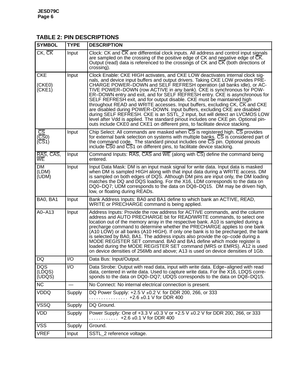## **TABLE 2: PIN DESCRIPTIONS**

| <b>SYMBOL</b>                        | <b>TYPE</b> | <b>DESCRIPTION</b>                                                                                                                                                                                                                                                                                                                                                                                                                                                                                                                                                                                                                                                                                                                                                                                                                                                                           |
|--------------------------------------|-------------|----------------------------------------------------------------------------------------------------------------------------------------------------------------------------------------------------------------------------------------------------------------------------------------------------------------------------------------------------------------------------------------------------------------------------------------------------------------------------------------------------------------------------------------------------------------------------------------------------------------------------------------------------------------------------------------------------------------------------------------------------------------------------------------------------------------------------------------------------------------------------------------------|
| $CK, \overline{CK}$                  | Input       | Clock: CK and CK are differential clock inputs. All address and control input signals<br>are sampled on the crossing of the positive edge of CK and negative edge of CK.<br>Output (read) data is referenced to the crossings of CK and CK (both directions of<br>crossing).                                                                                                                                                                                                                                                                                                                                                                                                                                                                                                                                                                                                                 |
| <b>CKE</b><br>(CKE0)<br>(CKE1)       | Input       | Clock Enable: CKE HIGH activates, and CKE LOW deactivates internal clock sig-<br>nals, and device input buffers and output drivers. Taking CKE LOW provides PRE-<br>CHARGE POWER-DOWN and SELF REFRESH operation (all banks idle), or AC-<br>TIVE POWER-DOWN (row ACTIVE in any bank). CKE is synchronous for POW-<br>ER-DOWN entry and exit, and for SELF REFRESH entry. CKE is asynchronous for<br>SELF REFRESH exit, and for output disable. CKE must be maintained high<br>throughout READ and WRITE accesses. Input buffers, excluding CK, CK and CKE<br>are disabled during POWER-DOWN. Input buffers, excluding CKE are disabled<br>during SELF REFRESH. CKE is an SSTL_2 input, but will detect an LVCMOS LOW<br>level after Vdd is applied. The standard pinout includes one CKE pin. Optional pin-<br>outs include CKE0 and CKE1 on different pins, to facilitate device stacking. |
| <u>CS</u><br>( <u>CS</u> O)<br>(CS1) | Input       | Chip Select: All commands are masked when CS is registered high. CS provides<br>for external bank selection on systems with multiple banks. CS is considered part of<br>the command code. The standard pinout includes one CS pin. Optional pinouts<br>include CS0 and CS1 on different pins, to facilitate device stacking.                                                                                                                                                                                                                                                                                                                                                                                                                                                                                                                                                                 |
| RAS, CAS,<br>WE                      | Input       | Command Inputs: RAS, CAS and WE (along with CS) define the command being<br>entered.                                                                                                                                                                                                                                                                                                                                                                                                                                                                                                                                                                                                                                                                                                                                                                                                         |
| DM<br>(LDM)<br>(UDM)                 | Input       | Input Data Mask: DM is an input mask signal for write data. Input data is masked<br>when DM is sampled HIGH along with that input data during a WRITE access. DM<br>is sampled on both edges of DQS. Although DM pins are input only, the DM loading<br>matches the DQ and DQS loading. For the X16, LDM corresponds to the data on<br>DQ0-DQ7; UDM corresponds to the data on DQ8-DQ15. DM may be driven high,<br>low, or floating during READs.                                                                                                                                                                                                                                                                                                                                                                                                                                            |
| BA0, BA1                             | Input       | Bank Address Inputs: BA0 and BA1 define to which bank an ACTIVE, READ,<br>WRITE or PRECHARGE command is being applied.                                                                                                                                                                                                                                                                                                                                                                                                                                                                                                                                                                                                                                                                                                                                                                       |
| A0-A13                               | Input       | Address Inputs: Provide the row address for ACTIVE commands, and the column<br>address and AUTO PRECHARGE bit for READ/WRITE commands, to select one<br>location out of the memory array in the respective bank. A10 is sampled during a<br>precharge command to determine whether the PRECHARGE applies to one bank<br>(A10 LOW) or all banks (A10 HIGH). If only one bank is to be precharged, the bank<br>is selected by BA0, BA1. The address inputs also provide the op-code during a<br>MODE REGISTER SET command. BA0 and BA1 define which mode register is<br>loaded during the MODE REGISTER SET command (MRS or EMRS). A12 is used<br>on device densities of 256Mb and above; A13 is used on device densities of 1Gb.                                                                                                                                                              |
| <b>DQ</b>                            | I/O         | Data Bus: Input/Output.                                                                                                                                                                                                                                                                                                                                                                                                                                                                                                                                                                                                                                                                                                                                                                                                                                                                      |
| <b>DQS</b><br>(LDQS)<br>(UDQS)       | I/O         | Data Strobe: Output with read data, input with write data. Edge-aligned with read<br>data, centered in write data. Used to capture write data. For the X16, LDQS corre-<br>sponds to the data on DQ0-DQ7; UDQS corresponds to the data on DQ8-DQ15.                                                                                                                                                                                                                                                                                                                                                                                                                                                                                                                                                                                                                                          |
| <b>NC</b>                            |             | No Connect: No internal electrical connection is present.                                                                                                                                                                                                                                                                                                                                                                                                                                                                                                                                                                                                                                                                                                                                                                                                                                    |
| <b>VDDQ</b>                          | Supply      | DQ Power Supply: +2.5 V ±0.2 V. for DDR 200, 266, or 333<br>$\ldots \ldots \ldots \ldots \ldots$ +2.6 ±0.1 V for DDR 400                                                                                                                                                                                                                                                                                                                                                                                                                                                                                                                                                                                                                                                                                                                                                                     |
| <b>VSSQ</b>                          | Supply      | DQ Ground.                                                                                                                                                                                                                                                                                                                                                                                                                                                                                                                                                                                                                                                                                                                                                                                                                                                                                   |
| <b>VDD</b>                           | Supply      | Power Supply: One of +3.3 V $\pm 0.3$ V or +2.5 V $\pm 0.2$ V for DDR 200, 266, or 333<br>+2.6 $\pm$ 0.1 V for DDR 400<br>.                                                                                                                                                                                                                                                                                                                                                                                                                                                                                                                                                                                                                                                                                                                                                                  |
| <b>VSS</b>                           | Supply      | Ground.                                                                                                                                                                                                                                                                                                                                                                                                                                                                                                                                                                                                                                                                                                                                                                                                                                                                                      |
| <b>VREF</b>                          | Input       | SSTL_2 reference voltage.                                                                                                                                                                                                                                                                                                                                                                                                                                                                                                                                                                                                                                                                                                                                                                                                                                                                    |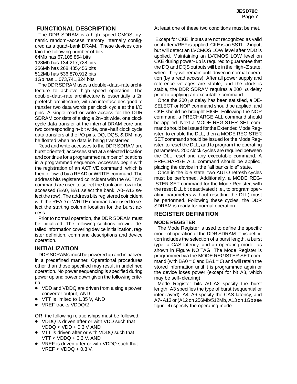## **FUNCTIONAL DESCRIPTION**

The DDR SDRAM is a high-speed CMOS, dynamic random-access memory internally configured as a quad-bank DRAM. These devices contain the following number of bits:

64Mb has 67,108,864 bits 128Mb has 134,217,728 bits 256Mb has 268,435,456 bits 512Mb has 536,870,912 bits 1Gb has 1,073,741,824 bits

The DDR SDRAM uses a double-data-rate architecture to achieve high-speed operation. The double-data-rate architecture is essentially a 2n prefetch architecture, with an interface designed to transfer two data words per clock cycle at the I/O pins. A single read or write access for the DDR SDRAM consists of a single 2n-bit wide, one clock cycle data transfer at the internal DRAM core and two corresponding n-bit wide, one-half clock cycle data transfers at the I/O pins. DQ, DQS, & DM may be floated when no data is being transferred

Read and write accesses to the DDR SDRAM are burst oriented; accesses start at a selected location and continue for a programmed number of locations in a programmed sequence. Accesses begin with the registration of an ACTIVE command, which is then followed by a READ or WRITE command. The address bits registered coincident with the ACTIVE command are used to select the bank and row to be accessed (BA0, BA1 select the bank; A0-A13 select the row). The address bits registered coincident with the READ or WRITE command are used to select the starting column location for the burst access.

Prior to normal operation, the DDR SDRAM must be initialized. The following sections provide detailed information covering device initialization, register definition, command descriptions and device operation.

## **INITIALIZATION**

DDR SDRAMs must be powered up and initialized in a predefined manner. Operational procedures other than those specified may result in undefined operation. No power sequencing is specified during power up and power down given the following criteria:

- VDD and VDDQ are driven from a single power converter output, AND
- $\bullet$  VTT is limited to 1.35 V, AND
- VREF tracks VDDQ/2

OR, the following relationships must be followed:

- VDDQ is driven after or with VDD such that  $VDDQ < VDD + 0.3 V AND$
- VTT is driven after or with VDDQ such that  $VTT < VDDQ + 0.3 V$ , AND
- VREF is driven after or with VDDQ such that VREF < VDDQ + 0.3 V.

At least one of these two conditions must be met.

Except for CKE, inputs are not recognized as valid until after VREF is applied. CKE is an SSTL\_2 input, but will detect an LVCMOS LOW level after VDD is applied. Maintaining an LVCMOS LOW level on CKE during power-up is required to guarantee that the DQ and DQS outputs will be in the High-Z state, where they will remain until driven in normal operation (by a read access). After all power supply and reference voltages are stable, and the clock is stable, the DDR SDRAM requires a 200 µs delay prior to applying an executable command.

Once the 200 µs delay has been satisfied, a DE-SELECT or NOP command should be applied, and CKE should be brought HIGH. Following the NOP command, a PRECHARGE ALL command should be applied. Next a MODE REGISTER SET command should be issued for the Extended Mode Register, to enable the DLL, then a MODE REGISTER SET command should be issued for the Mode Register, to reset the DLL, and to program the operating parameters. 200 clock cycles are required between the DLL reset and any executable command. A PRECHARGE ALL command should be applied, placing the device in the "all banks idle" state.

Once in the idle state, two AUTO refresh cycles must be performed. Additionally, a MODE REG-ISTER SET command for the Mode Register, with the reset DLL bit deactivated (i.e., to program operating parameters without resetting the DLL) must be performed. Following these cycles, the DDR SDRAM is ready for normal operation.

## **REGISTER DEFINITION**

#### **MODE REGISTER**

The Mode Register is used to define the specific mode of operation of the DDR SDRAM. This definition includes the selection of a burst length, a burst type, a CAS latency, and an operating mode, as shown in Figure NO TAG. The Mode Register is programmed via the MODE REGISTER SET command (with  $BA0 = 0$  and  $BA1 = 0$ ) and will retain the stored information until it is programmed again or the device loses power (except for bit A8, which may be self-clearing).

Mode Register bits A0-A2 specify the burst length, A3 specifies the type of burst (sequential or interleaved), A4-A6 specify the CAS latency, and A7--A13 or (A12 on 256Mb/512Mb, A13 on 1Gb see figure 4) specify the operating mode.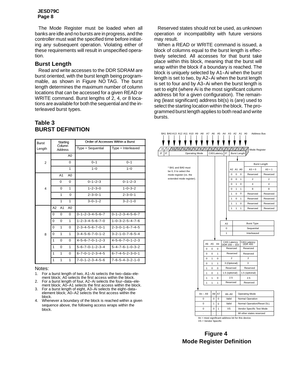**JESD79C Page 8**

The Mode Register must be loaded when all banks are idle and no bursts are in progress, andthe controller must wait the specified time before initiating any subsequent operation. Violating either of these requirements will result in unspecified operation.

#### **Burst Length**

Read and write accesses to the DDR SDRAM are burst oriented, with the burst length being programmable, as shown in Figure NO TAG. The burst length determines the maximum number of column locations that can be accessed for a given READ or WRITE command. Burst lengths of 2, 4, or 8 locations are available for both the sequential and the interleaved burst types.

## **Table 3 BURST DEFINITION**

| <b>Burst</b>            | Starting<br>Column<br><b>Address</b> |                |                | Order of Accesses Within a Burst |                                 |  |  |
|-------------------------|--------------------------------------|----------------|----------------|----------------------------------|---------------------------------|--|--|
| Length                  |                                      |                |                | Type = Sequential                | $Type = Interleaved$            |  |  |
|                         |                                      |                | A <sub>0</sub> |                                  |                                 |  |  |
| $\overline{2}$          |                                      |                | 0              | $0 - 1$                          | $0 - 1$                         |  |  |
|                         |                                      |                | 1              | $1 - 0$                          | $1 - 0$                         |  |  |
|                         |                                      | A <sub>1</sub> | A <sub>0</sub> |                                  |                                 |  |  |
|                         |                                      | $\Omega$       | 0              | $0 - 1 - 2 - 3$                  | $0 - 1 - 2 - 3$                 |  |  |
| $\overline{\mathbf{4}}$ |                                      | $\Omega$       | 1              | $1 - 2 - 3 - 0$                  | $1 - 0 - 3 - 2$                 |  |  |
|                         |                                      | 1              | 0              | $2 - 3 - 0 - 1$                  | $2 - 3 - 0 - 1$                 |  |  |
|                         |                                      | 1              | 1              | $3 - 0 - 1 - 2$                  | $3 - 2 - 1 - 0$                 |  |  |
|                         | A2                                   | A <sub>1</sub> | A <sub>0</sub> |                                  |                                 |  |  |
|                         | $\Omega$                             | $\Omega$       | 0              | $0 - 1 - 2 - 3 - 4 - 5 - 6 - 7$  | $0 - 1 - 2 - 3 - 4 - 5 - 6 - 7$ |  |  |
|                         | $\Omega$                             | 0              | 1              | $1 - 2 - 3 - 4 - 5 - 6 - 7 - 0$  | $1 - 0 - 3 - 2 - 5 - 4 - 7 - 6$ |  |  |
|                         | 0                                    | 1              | $\Omega$       | $2 - 3 - 4 - 5 - 6 - 7 - 0 - 1$  | $2 - 3 - 0 - 1 - 6 - 7 - 4 - 5$ |  |  |
| 8                       | $\Omega$                             | 1              | 1              | $3 - 4 - 5 - 6 - 7 - 0 - 1 - 2$  | $3 - 2 - 1 - 0 - 7 - 6 - 5 - 4$ |  |  |
|                         | 1                                    | 0              | 0              | $4 - 5 - 6 - 7 - 0 - 1 - 2 - 3$  | $4 - 5 - 6 - 7 - 0 - 1 - 2 - 3$ |  |  |
|                         | $\mathbf{1}$                         | $\Omega$       | 1              | $5 - 6 - 7 - 0 - 1 - 2 - 3 - 4$  | $5 - 4 - 7 - 6 - 1 - 0 - 3 - 2$ |  |  |
|                         | 1                                    | 1              | 0              | $6 - 7 - 0 - 1 - 2 - 3 - 4 - 5$  | $6 - 7 - 4 - 5 - 2 - 3 - 0 - 1$ |  |  |
|                         | 1                                    | 1              | 1              | $7 - 0 - 1 - 2 - 3 - 4 - 5 - 6$  | $7 - 6 - 5 - 4 - 3 - 2 - 1 - 0$ |  |  |

#### Notes:

- 1. For a burst length of two, A1-Ai selects the two-data-element block; A0 selects the first access within the block.
- 2. For a burst length of four, A2-Ai selects the four-data-element block; A0-A1 selects the first access within the block.
- 3. For a burst length of eight, A3-Ai selects the eight-dataelement block; A0-A2 selects the first access within the block.
- 4. Whenever a boundary of the block is reached within a given sequence above, the following access wraps within the block.

Reserved states should not be used, as unknown operation or incompatibility with future versions may result.

When a READ or WRITE command is issued, a block of columns equal to the burst length is effectively selected. All accesses for that burst take place within this block, meaning that the burst will wrap within the block if a boundary is reached. The block is uniquely selected by A1-Ai when the burst length is set to two, by A2-Ai when the burst length is set to four and by A3-Ai when the burst length is set to eight (where Ai is the most significant column address bit for a given configuration). The remaining (least significant) address bit(s) is (are) used to select the starting location within the block. The programmed burst length applies to both read and write bursts.



An = most significant address bit for this device. VS = Vendor Specific

## **Figure 4 Mode Register Definition**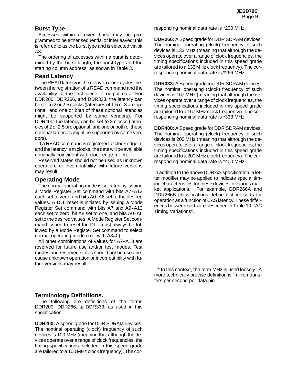## **Burst Type**

Accesses within a given burst may be programmed to be either sequential or interleaved; this is referred to as the burst type and is selected via bit A3.

The ordering of accesses within a burst is determined by the burst length, the burst type and the starting column address, as shown in Table 3.

## **Read Latency**

The READ latency is the delay, in clock cycles, between the registration of a READ command and the availability of the first piece of output data. For DDR200, DDR266, and DDR333, the latency can be set to 2 or 2.5 clocks (latencies of 1.5 or 3 are optional, and one or both of these optional latencies might be supported by some vendors). For DDR400, the latency can be set to 3 clocks (latencies of 2 or 2.5 are optional, and one or both of these optional latencies might be supported by some vendors).

If a READ command is registered at clock edge n, and the latency is m clocks, the datawill be available nominally coincident with clock edge n + m.

Reserved states should not be used as unknown operation, or incompatibility with future versions may result.

## **Operating Mode**

The normal operating mode is selected by issuing a Mode Register Set command with bits A7-A13 each set to zero, and bits A0-A6 set to the desired values. A DLL reset is initiated by issuing a Mode Register Set command with bits A7 and A9-A13 each set to zero, bit A8 set to one, and bits A0-A6 set to the desired values. A Mode Register Set command issued to reset the DLL must always be followed by a Mode Register Set command to select normal operating mode (i.e., with A8=0).

All other combinations of values for A7-A13 are reserved for future use and/or test modes. Test modes and reserved states should not be used because unknown operation or incompatibility with future versions may result.

responding nominal data rate is \*200 MHz.

**DDR266:** A Speed grade for DDR SDRAM devices. The nominal operating (clock) frequency of such devices is 133 MHz (meaning that although the devices operate over a range of clock frequencies, the timing specifications included in this speed grade are tailored to a 133 MHz clock frequency). The corresponding nominal data rate is \*266 MHz.

**DDR333:** A Speed grade for DDR SDRAM devices. The nominal operating (clock) frequency of such devices is 167 MHz (meaning that although the devices operate over a range of clock frequencies, the timing specifications included in this speed grade are tailored to a 167 MHz clock frequency). The corresponding nominal data rate is \*333 MHz.

**DDR400:** A Speed grade for DDR SDRAM devices. The nominal operating (clock) frequency of such devices is 200 MHz (meaning that although the devices operate over a range of clock frequencies, the timing specifications included in this speed grade are tailored to a 200 MHz clock frequency). The corresponding nominal data rate is \*400 MHz.

In addition to the above DDRxxx specification, a letter modifier may be applied to indicate special timing characteristics for these devices in various market applications. For example, DDR266A and DDR266B classifications define distinct sorts for operation as a function of CAS latency. These differences between sorts are described in Table 10, "AC Timing Variations".

\* In this context, the term MHz is used loosely. A more technically precise definition is "million transfers per second per data pin"

#### **Terminology Definitions.**

The following are definitions of the terms DDR200, DDR266, & DDR333, as used in this specification.

**DDR200:** A speed grade for DDR SDRAM devices. The nominal operating (clock) frequency of such devices is 100 MHz (meaning that although the devices operate over a range of clock frequencies, the timing specifications included in this speed grade are tailored to a 100 MHz clock frequency). The cor-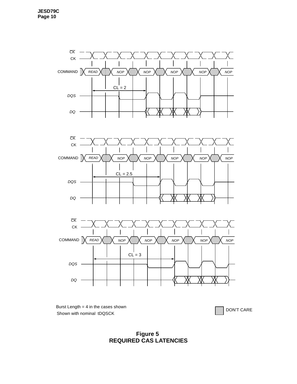

Burst Length = 4 in the cases shown<br>
DON'T CARE Shown with nominal tDQSCK

**Figure 5 REQUIRED CAS LATENCIES**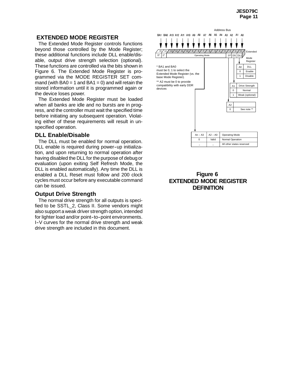## **EXTENDED MODE REGISTER**

The Extended Mode Register controls functions beyond those controlled by the Mode Register; these additional functions include DLL enable/disable, output drive strength selection (optional). These functions are controlled via the bits shown in Figure 6. The Extended Mode Register is programmed via the MODE REGISTER SET command (with  $BA0 = 1$  and  $BA1 = 0$ ) and will retain the stored information until it is programmed again or the device loses power.

The Extended Mode Register must be loaded when all banks are idle and no bursts are in progress, and the controller must wait the specified time before initiating any subsequent operation. Violating either of these requirements will result in unspecified operation.

#### **DLL Enable/Disable**

The DLL must be enabled for normal operation. DLL enable is required during power-up initialization, and upon returning to normal operation after having disabled the DLL for the purpose of debug or evaluation (upon exiting Self Refresh Mode, the DLL is enabled automatically). Any time the DLL is enabled a DLL Reset must follow and 200 clock cycles must occur before any executable command can be issued.

## **Output Drive Strength**

The normal drive strength for all outputs is specified to be SSTL\_2, Class II. Some vendors might also support a weak driver strength option, intended for lighter load and/or point-to-point environments. I-V curves for the normal drive strength and weak drive strength are included in this document.



## **Figure 6 EXTENDED MODE REGISTER DEFINITION**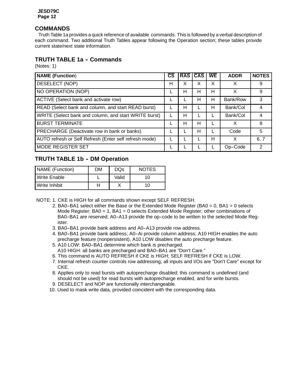**JESD79C Page 12**

#### **COMMANDS**

Truth Table 1a provides a quick reference of available commands. This is followed by a verbal description of each command. Two additional Truth Tables appear following the Operation section; these tables provide current state/next state information.

## **TRUTH TABLE 1a - Commands**

(Notes: 1)

| <b>NAME (Function)</b>                                 | cs | <b>RAS CAS</b> |   | <b>WE</b> | <b>ADDR</b> | <b>NOTES</b> |
|--------------------------------------------------------|----|----------------|---|-----------|-------------|--------------|
| DESELECT (NOP)                                         | н  | X              |   | Х         | х           | 9            |
| NO OPERATION (NOP)                                     |    | н              | н | н         | X           | 9            |
| ACTIVE (Select bank and activate row)                  |    |                | н | н         | Bank/Row    | 3            |
| READ (Select bank and column, and start READ burst)    |    | н              |   | н         | Bank/Col    | 4            |
| WRITE (Select bank and column, and start WRITE burst)  |    | н              |   |           | Bank/Col    | 4            |
| <b>BURST TERMINATE</b>                                 |    | н              | н |           | X           | 8            |
| PRECHARGE (Deactivate row in bank or banks)            |    |                | н |           | Code        | 5            |
| AUTO refresh or Self Refresh (Enter self refresh mode) |    |                |   | н         | x           | 6, 7         |
| MODE REGISTER SET                                      |    |                |   |           | Op-Code     | 2            |

## **TRUTH TABLE 1b - DM Operation**

| NAME (Function)      | DМ | DQs   | <b>NOTES</b> |
|----------------------|----|-------|--------------|
| Write Enable         |    | Valid | 10           |
| <b>Write Inhibit</b> |    |       | 10           |

NOTE: 1. CKE is HIGH for all commands shown except SELF REFRESH.

- 2. BA0-BA1 select either the Base or the Extended Mode Register (BA0 =  $0$ , BA1 = 0 selects Mode Register; BA0 = 1, BA1 = 0 selects Extended Mode Register; other combinations of BA0-BA1 are reserved; A0-A13 provide the op-code to be written to the selected Mode Register.
- 3. BA0-BA1 provide bank address and A0-A13 provide row address.
- 4. BA0-BA1 provide bank address; A0-Ai provide column address; A10 HIGH enables the auto precharge feature (nonpersistent), A10 LOW disables the auto precharge feature.
- 5. A10 LOW: BA0-BA1 determine which bank is precharged. A10 HIGH: all banks are precharged and BA0-BA1 are "Don't Care."
- 6. This command is AUTO REFRESH if CKE is HIGH; SELF REFRESH if CKE is LOW.
- 7. Internal refresh counter controls row addressing; all inputs and I/Os are "Don't Care" except for CKE.
- 8. Applies only to read bursts with autoprecharge disabled; this command is undefined (and should not be used) for read bursts with autoprecharge enabled, and for write bursts.
- 9. DESELECT and NOP are functionally interchangeable.
- 10. Used to mask write data, provided coincident with the corresponding data.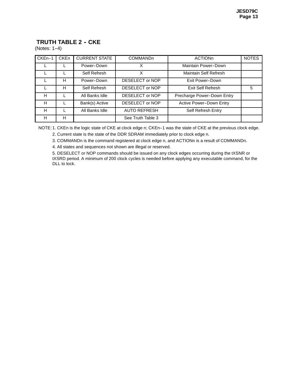## **TRUTH TABLE 2 - CKE**

 $(Notes: 1-4)$ 

| $CKEn-1$ | <b>CKEn</b> | <b>CURRENT STATE</b> | <b>COMMANDn</b>     | <b>ACTIONn</b>                 | <b>NOTES</b> |
|----------|-------------|----------------------|---------------------|--------------------------------|--------------|
|          |             | Power-Down           | x                   | <b>Maintain Power-Down</b>     |              |
|          |             | Self Refresh         | x                   | <b>Maintain Self Refresh</b>   |              |
|          | н           | Power-Down           | DESELECT or NOP     | Exit Power-Down                |              |
|          | н           | Self Refresh         | DESELECT or NOP     | Exit Self Refresh              | 5            |
| н        |             | All Banks Idle       | DESELECT or NOP     | Precharge Power-Down Entry     |              |
| н        |             | Bank(s) Active       | DESELECT or NOP     | <b>Active Power-Down Entry</b> |              |
| н        |             | All Banks Idle       | <b>AUTO REFRESH</b> | Self Refresh Entry             |              |
| н        | H.          |                      | See Truth Table 3   |                                |              |

NOTE: 1. CKEn is the logic state of CKE at clock edge n; CKEn-1 was the state of CKE at the previous clock edge.

2. Current state is the state of the DDR SDRAM immediately prior to clock edge n.

3. COMMANDn is the command registered at clock edge n, and ACTIONn is a result of COMMANDn.

4. All states and sequences not shown are illegal or reserved.

5. DESELECT or NOP commands should be issued on any clock edges occurring during the tXSNR or tXSRD period. A minimum of 200 clock cycles is needed before applying any executable command, for the DLL to lock.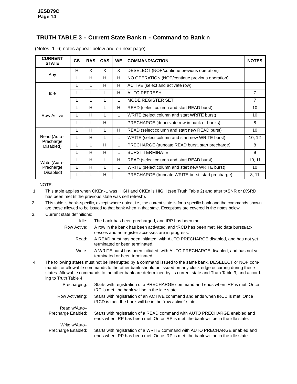## **TRUTH TABLE 3 - Current State Bank n - Command to Bank n**

| <b>CURRENT</b><br><b>STATE</b> | $\overline{\text{cs}}$ | <b>RAS</b> | <b>CAS</b> | <b>WE</b> | <b>COMMAND/ACTION</b>                             | <b>NOTES</b> |
|--------------------------------|------------------------|------------|------------|-----------|---------------------------------------------------|--------------|
| Any                            | н                      | X          | X          | X         | DESELECT (NOP/continue previous operation)        |              |
|                                | L                      | н          | H          | н         | NO OPERATION (NOP/continue previous operation)    |              |
|                                |                        | L          | H          | н         | ACTIVE (select and activate row)                  |              |
| Idle                           |                        |            |            | H         | <b>AUTO REFRESH</b>                               | 7            |
|                                | L                      | L          | L          | L         | <b>MODE REGISTER SET</b>                          | 7            |
|                                | L                      | н          | L          | H         | READ (select column and start READ burst)         | 10           |
| <b>Row Active</b>              |                        | н          | L          | L         | WRITE (select column and start WRITE burst)       | 10           |
|                                |                        |            | H          |           | PRECHARGE (deactivate row in bank or banks)       | 8            |
|                                |                        | н          | L          | н         | READ (select column and start new READ burst)     | 10           |
| Read (Auto-<br>Precharge       |                        | н          | L          |           | WRITE (select column and start new WRITE burst)   | 10, 12       |
| Disabled)                      |                        |            | H          | L         | PRECHARGE (truncate READ burst, start precharge)  | 8            |
|                                |                        | н          | н          |           | <b>BURST TERMINATE</b>                            | 9            |
| Write (Auto-                   |                        | н          |            | H         | READ (select column and start READ burst)         | 10, 11       |
| Precharge                      |                        | н          | L          |           | WRITE (select column and start new WRITE burst)   | 10           |
| Disabled)                      |                        |            | H          |           | PRECHARGE (truncate WRITE burst, start precharge) | 8, 11        |

(Notes: 1-6; notes appear below and on next page)

NOTE:

- 1. This table applies when CKEn--1 was HIGH and CKEn is HIGH (see Truth Table 2) and after tXSNR or tXSRD has been met (if the previous state was self refresh).
- 2. This table is bank--specific, except where noted, i.e., the current state is for a specific bank and the commands shown are those allowed to be issued to that bank when in that state. Exceptions are covered in the notes below.
- 3. Current state definitions:

| Idle:       | The bank has been precharged, and tRP has been met.                                                                                 |
|-------------|-------------------------------------------------------------------------------------------------------------------------------------|
| Row Active: | A row in the bank has been activated, and tRCD has been met. No data bursts/ac-<br>cesses and no register accesses are in progress. |
| Read:       | A READ burst has been initiated, with AUTO PRECHARGE disabled, and has not yet<br>terminated or been terminated.                    |
| Write:      | A WRITE burst has been initiated, with AUTO PRECHARGE disabled, and has not yet<br>terminated or been terminated.                   |

4. The following states must not be interrupted by a command issued to the same bank. DESELECT or NOP commands, or allowable commands to the other bank should be issued on any clock edge occurring during these states. Allowable commands to the other bank are determined by its current state and Truth Table 3, and according to Truth Table 4.

| Precharging:       | Starts with registration of a PRECHARGE command and ends when tRP is met. Once<br>tRP is met, the bank will be in the idle state.                               |
|--------------------|-----------------------------------------------------------------------------------------------------------------------------------------------------------------|
| Row Activating:    | Starts with registration of an ACTIVE command and ends when tRCD is met. Once<br>tRCD is met, the bank will be in the "row active" state.                       |
| Read w/Auto-       |                                                                                                                                                                 |
| Precharge Enabled: | Starts with registration of a READ command with AUTO PRECHARGE enabled and<br>ends when tRP has been met. Once tRP is met, the bank will be in the idle state.  |
| Write w/Auto-      |                                                                                                                                                                 |
| Precharge Enabled: | Starts with registration of a WRITE command with AUTO PRECHARGE enabled and<br>ends when tRP has been met. Once tRP is met, the bank will be in the idle state. |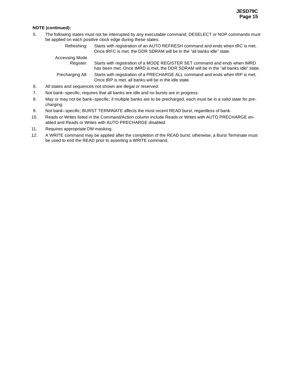#### **NOTE (continued):**

5. The following states must not be interrupted by any executable command; DESELECT or NOP commands must be applied on each positive clock edge during these states.

| Refreshing:           | Starts with registration of an AUTO REFRESH command and ends when tRC is met.        |
|-----------------------|--------------------------------------------------------------------------------------|
|                       | Once tRFC is met, the DDR SDRAM will be in the "all banks idle" state.               |
| <b>Accessing Mode</b> |                                                                                      |
| Register:             | Starts with registration of a MODE REGISTER SET command and ends when tMRD           |
|                       | has been met. Once tMRD is met, the DDR SDRAM will be in the "all banks idle" state. |
| Precharging All:      | Starts with registration of a PRECHARGE ALL command and ends when tRP is met.        |
|                       | Once tRP is met, all banks will be in the idle state.                                |

- 6. All states and sequences not shown are illegal or reserved.
- 7. Not bank-specific; requires that all banks are idle and no bursts are in progress.
- 8. May or may not be bank--specific; if multiple banks are to be precharged, each must be in a valid state for precharging.
- 9. Not bank--specific; BURST TERMINATE affects the most recent READ burst, regardless of bank.
- 10. Reads or Writes listed in the Command/Action column include Reads or Writes with AUTO PRECHARGE enabled and Reads or Writes with AUTO PRECHARGE disabled.
- 11. Requires appropriate DM masking.
- 12. A WRITE command may be applied after the completion of the READ burst; otherwise, a Burst Terminate must be used to end the READ prior to asserting a WRITE command,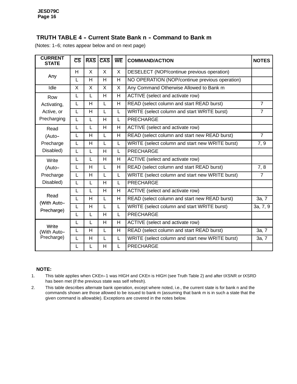## **TRUTH TABLE 4 - Current State Bank n - Command to Bank m**

(Notes: 1-6; notes appear below and on next page)

| <b>CURRENT</b><br><b>STATE</b>     | $\overline{\text{CS}}$ | <b>RAS</b>              | CAS          | <b>WE</b>      | <b>COMMAND/ACTION</b>                           | <b>NOTES</b>   |
|------------------------------------|------------------------|-------------------------|--------------|----------------|-------------------------------------------------|----------------|
|                                    | H                      | X                       | X            | X              | DESELECT (NOP/continue previous operation)      |                |
| Any                                | L                      | H                       | H            | H              | NO OPERATION (NOP/continue previous operation)  |                |
| Idle                               | $\times$               | $\overline{\mathsf{x}}$ | $\mathsf{x}$ | $\overline{X}$ | Any Command Otherwise Allowed to Bank m         |                |
| Row                                | L                      | L                       | H            | H              | ACTIVE (select and activate row)                |                |
| Activating,                        | L                      | H                       | L            | H              | READ (select column and start READ burst)       | $\overline{7}$ |
| Active, or<br>Precharging          | L                      | H                       | L            | L              | WRITE (select column and start WRITE burst)     | $\overline{7}$ |
|                                    | L                      | L                       | H            | L              | <b>PRECHARGE</b>                                |                |
| Read<br>(Auto-<br>Precharge        | L                      | L                       | H            | H              | ACTIVE (select and activate row)                |                |
|                                    | L                      | H                       | L            | H              | READ (select column and start new READ burst)   | $\overline{7}$ |
|                                    | L                      | H                       | L            | L              | WRITE (select column and start new WRITE burst) | 7, 9           |
| Disabled)                          | L                      | L                       | H            | L              | PRECHARGE                                       |                |
| Write                              | L                      | L                       | H            | H              | ACTIVE (select and activate row)                |                |
| (Auto-                             | L                      | H                       | L            | H              | READ (select column and start READ burst)       | 7, 8           |
| Precharge                          | L                      | H                       | L            | L              | WRITE (select column and start new WRITE burst) | $\overline{7}$ |
| Disabled)                          | $\mathbf{I}$           | L                       | H            | L              | <b>PRECHARGE</b>                                |                |
|                                    | L                      | L                       | Н            | H              | ACTIVE (select and activate row)                |                |
| Read<br>(With Auto-                | L                      | H                       | L            | H              | READ (select column and start new READ burst)   | 3a, 7          |
| Precharge)                         | L                      | H                       | L            | L              | WRITE (select column and start WRITE burst)     | 3a, 7, 9       |
|                                    | L                      | L                       | H            | L              | <b>PRECHARGE</b>                                |                |
| Write<br>(With Auto-<br>Precharge) | L                      |                         | H            | H              | ACTIVE (select and activate row)                |                |
|                                    | L                      | H                       | L            | H              | READ (select column and start READ burst)       | 3a, 7          |
|                                    | L                      | H                       | L            | L              | WRITE (select column and start new WRITE burst) | 3a, 7          |
|                                    | L                      |                         | H            | L              | <b>PRECHARGE</b>                                |                |

#### **NOTE:**

- 1. This table applies when CKEn-1 was HIGH and CKEn is HIGH (see Truth Table 2) and after tXSNR or tXSRD has been met (if the previous state was self refresh).
- 2. This table describes alternate bank operation, except where noted, i.e., the current state is for bank n and the commands shown are those allowed to be issued to bank m (assuming that bank m is in such a state that the given command is allowable). Exceptions are covered in the notes below.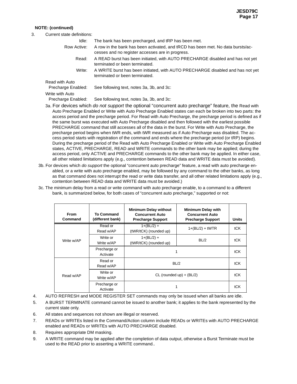#### **NOTE: (continued)**

3. Current state definitions:

| Idle:              | The bank has been precharged, and tRP has been met.                                                                                 |
|--------------------|-------------------------------------------------------------------------------------------------------------------------------------|
| Row Active:        | A row in the bank has been activated, and tRCD has been met. No data bursts/ac-<br>cesses and no register accesses are in progress. |
| Read:              | A READ burst has been initiated, with AUTO PRECHARGE disabled and has not yet<br>terminated or been terminated.                     |
| Write:             | A WRITE burst has been initiated, with AUTO PRECHARGE disabled and has not yet<br>terminated or been terminated.                    |
| Read with Auto     |                                                                                                                                     |
| Precharge Enabled: | See following text, notes 3a, 3b, and 3c:                                                                                           |
| Write with Auto    |                                                                                                                                     |
|                    |                                                                                                                                     |

Precharge Enabled: See following text, notes 3a, 3b, and 3c: 3a. For devices which *do not support* the optional "concurrent auto precharge" feature, the Read with

- Auto Precharge Enabled or Write with Auto Precharge Enabled states can each be broken into two parts: the access period and the precharge period. For Read with Auto Precharge, the precharge period is defined as if the same burst was executed with Auto Precharge disabled and then followed with the earliest possible PRECHARGE command that still accesses all of the data in the burst. For Write with Auto Precharge, the precharge period begins when tWR ends, with tWR measured as if Auto Precharge was disabled. The access period starts with registration of the command and ends where the precharge period (or tRP) begins. During the precharge period of the Read with Auto Precharge Enabled or Write with Auto Precharge Enabled states, ACTIVE, PRECHARGE, READ and WRITE commands to the other bank may be applied; during the access period, only ACTIVE and PRECHARGE commands to the other bank may be applied. In either case, all other related limitations apply (e.g., contention between READ data and WRITE data must be avoided).
- 3b. For devices which *do support* the optional "concurrent auto precharge" feature, a read with auto precharge enabled, or a write with auto precharge enabled, may be followed by any command to the other banks, as long as that command does not interrupt the read or write data transfer, and all other related limitations apply (e.g., contention between READ data and WRITE data must be avoided.)
- 3c. The minimum delay from a read or write command with auto precharge enable, to a command to a different bank, is summarized below, for both cases of "concurrent auto precharge," supported or not:

| <b>From</b><br>Command | <b>To Command</b><br>(different bank) | <b>Minimum Delay without</b><br><b>Concurrent Auto</b><br><b>Precharge Support</b> | <b>Minimum Delay with</b><br><b>Concurrent Auto</b><br><b>Precharge Support</b> | Units |
|------------------------|---------------------------------------|------------------------------------------------------------------------------------|---------------------------------------------------------------------------------|-------|
| Write w/AP             | Read or<br>Read w/AP                  | $1+(BL/2) +$<br>(tWR/tCK) (rounded up)                                             | $1+(BL/2) + tWTR$                                                               | tCK   |
|                        | Write or<br>Write w/AP                | $1+(BL/2) +$<br>(tWR/tCK) (rounded up)                                             | BL/2                                                                            | tCK   |
|                        | Precharge or<br>Activate              |                                                                                    |                                                                                 |       |
| Read w/AP              | Read or<br>Read w/AP                  | BL/2                                                                               |                                                                                 |       |
|                        | Write or<br>Write w/AP                | $CL$ (rounded up) + (BL/2)                                                         |                                                                                 |       |
|                        | Precharge or<br>Activate              | 4                                                                                  |                                                                                 |       |

- 4. AUTO REFRESH and MODE REGISTER SET commands may only be issued when all banks are idle.
- 5. A BURST TERMINATE command cannot be issued to another bank; it applies to the bank represented by the current state only.
- 6. All states and sequences not shown are illegal or reserved.
- 7. READs or WRITEs listed in the Command/Action column include READs or WRITEs with AUTO PRECHARGE enabled and READs or WRITEs with AUTO PRECHARGE disabled.
- 8. Requires appropriate DM masking.
- 9. A WRITE command may be applied after the completion of data output, otherwise a Burst Terminate must be used to the READ prior to asserting a WRITE command..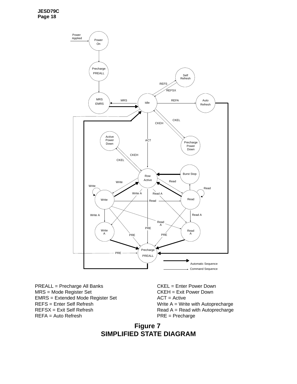

PREALL = Precharge All Banks CKEL = Enter Power Down MRS = Mode Register Set CKEH = Exit Power Down EMRS = Extended Mode Register Set ACT = Active<br>REFS = Enter Self Refresh Write A = Write  $REFSX = Exist Set$  Refresh Read A = Read with Autoprecharge REFA = Auto Refresh PRE = Precharge

Write  $A =$  Write with Autoprecharge

## **Figure 7 SIMPLIFIED STATE DIAGRAM**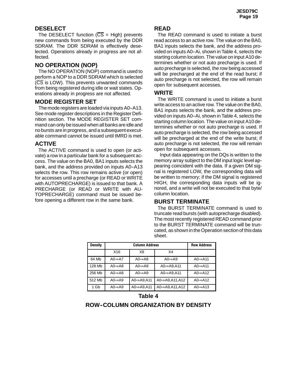## **DESELECT**

The DESELECT function  $( \overline{CS} = High)$  prevents new commands from being executed by the DDR SDRAM. The DDR SDRAM is effectively deselected. Operations already in progress are not affected.

## **NO OPERATION (NOP)**

The NO OPERATION (NOP) command is used to perform a NOP to a DDR SDRAM which is selected (CS is LOW). This prevents unwanted commands from being registered during idle or wait states. Operations already in progress are not affected.

## **MODE REGISTER SET**

The mode registers are loaded via inputs A0-A13. See mode register descriptions in the Register Definition section. The MODE REGISTER SET command can only be issued when all banks are idle and no bursts are in progress, and a subsequent executable command cannot be issued until tMRD is met.

## **ACTIVE**

The ACTIVE command is used to open (or activate) a row in a particular bank for a subsequent access. The value on the BA0, BA1 inputs selects the bank, and the address provided on inputs A0-A13 selects the row. This row remains active (or open) for accesses until a precharge (or READ or WRITE with AUTOPRECHARGE) is issued to that bank. A PRECHARGE (or READ or WRITE with AU-TOPRECHARGE) command must be issued before opening a different row in the same bank.

## **READ**

The READ command is used to initiate a burst read access to an active row. The value on the BA0, BA1 inputs selects the bank, and the address provided on inputs A0-Ai, shown in Table 4, selects the starting column location. The value on input A10 determines whether or not auto precharge is used. If auto precharge is selected, the row being accessed will be precharged at the end of the read burst; if auto precharge is not selected, the row will remain open for subsequent accesses.

## **WRITE**

The WRITE command is used to initiate a burst write access to an active row. The value on the BA0, BA1 inputs selects the bank, and the address provided on inputs A0-Ai, shown in Table 4, selects the starting column location. The value on input A10 determines whether or not auto precharge is used. If auto precharge is selected, the row being accessed will be precharged at the end of the write burst; if auto precharge is not selected, the row will remain open for subsequent accesses.

Input data appearing on the DQs is written to the memory array subject to the DM input logic level appearing coincident with the data. If a given DM signal is registered LOW, the corresponding data will be written to memory; if the DM signal is registered HIGH, the corresponding data inputs will be ignored, and a write will not be executed to that byte/ column location.

## **BURST TERMINATE**

The BURST TERMINATE command is used to truncate read bursts (with autoprecharge disabled). The most recently registered READ command prior to the BURST TERMINATE command will be truncated, as shown in the Operation section of this data sheet.

| <b>Density</b> |                     | <b>Row Address</b>       |                             |                      |
|----------------|---------------------|--------------------------|-----------------------------|----------------------|
|                | X16                 | X8                       | X4                          |                      |
| 64 Mb          | $AO \Rightarrow A7$ | $AO \Rightarrow AB$      | $AO \Rightarrow A9$         | $AO \Rightarrow A11$ |
| 128 Mb         | $AO \Rightarrow AB$ | $AO \Rightarrow A9$      | $AO \Rightarrow A9, A11$    | $AO \Rightarrow A11$ |
| 256 Mb         | $AO \Rightarrow AB$ | $AO \Rightarrow A9$      | $AO \Rightarrow A9.A11$     | $AO \Rightarrow A12$ |
| 512 Mb         | $AO \Rightarrow A9$ | $AO \Rightarrow A9, A11$ | $AO \rightarrow A9.A11.A12$ | $AO \Rightarrow A12$ |
| 1 Gb           | $AO \Rightarrow A9$ | $AO \Rightarrow A9, A11$ | $AO \Rightarrow$ A9,A11,A12 | $AO \Rightarrow A13$ |

## **Table 4 ROW-COLUMN ORGANIZATION BY DENSITY**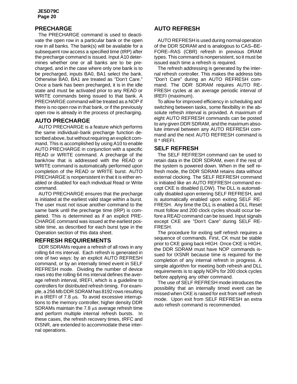#### **JESD79C Page 20**

## **PRECHARGE**

The PRECHARGE command is used to deactivate the open row in a particular bank or the open row in all banks. The bank(s) will be available for a subsequent row access a specified time (tRP) after the precharge command is issued. Input A10 determines whether one or all banks are to be precharged, and in the case where only one bank is to be precharged, inputs BA0, BA1 select the bank. Otherwise BA0, BA1 are treated as "Don't Care." Once a bank has been precharged, it is in the idle state and must be activated prior to any READ or WRITE commands being issued to that bank. A PRECHARGE command will be treated as a NOP if there is no open row in that bank, or if the previously open row is already in the process of precharging.

## **AUTO PRECHARGE**

AUTO PRECHARGE is a feature which performs the same individual-bank precharge function described above, but without requiring an explicit command. This is accomplished by using A10 to enable AUTO PRECHARGE in conjunction with a specific READ or WRITE command. A precharge of the bank/row that is addressed with the READ or WRITE command is automatically performed upon completion of the READ or WRITE burst. AUTO PRECHARGE is nonpersistent in that it is either enabled or disabled for each individual Read or Write command.

AUTO PRECHARGE ensures that the precharge is initiated at the earliest valid stage within a burst. The user must not issue another command to the same bank until the precharge time (tRP) is completed. This is determined as if an explicit PRE-CHARGE command was issued at the earliest possible time, as described for each burst type in the Operation section of this data sheet.

## **REFRESH REQUIREMENTS**

DDR SDRAMs require a refresh of all rows in any rolling 64 ms interval. Each refresh is generated in one of two ways: by an explicit AUTO REFRESH command, or by an internally timed event in SELF REFRESH mode. Dividing the number of device rows into the rolling 64 ms interval defines the average refresh interval, tREFI, which is a guideline to controllers for distributed refresh timing. For example, a 256 Mb DDR SDRAM has 8192 rows resulting in a tREFI of 7.8 µs. To avoid excessive interruptions to the memory controller, higher density DDR SDRAMs maintain the 7.8 µs average refresh time and perform multiple internal refresh bursts. In these cases, the refresh recovery times, tRFC and tXSNR, are extended to accommodate these internal operations.

## **AUTO REFRESH**

AUTO REFRESH is used during normal operation of the DDR SDRAM and is analogous to CAS–BE-FORE–RAS (CBR) refresh in previous DRAM types. This command is nonpersistent, so it must be issued each time a refresh is required.

The refresh addressing is generated by the internal refresh controller. This makes the address bits "Don't Care" during an AUTO REFRESH command. The DDR SDRAM requires AUTO RE-FRESH cycles at an average periodic interval of tREFI (maximum).

To allow for improved efficiency in scheduling and switching between tasks, some flexibility in the absolute refresh interval is provided. A maximum of eight AUTO REFRESH commands can be posted to any given DDR SDRAM, and the maximum absolute interval between any AUTO REFRESH command and the next AUTO REFRESH command is 8 \* tREFI.

## **SELF REFRESH**

The SELF REFRESH command can be used to retain data in the DDR SDRAM, even if the rest of the system is powered down. When in the self refresh mode, the DDR SDRAM retains data without external clocking. The SELF REFRESH command is initiated like an AUTO REFRESH command except CKE is disabled (LOW). The DLL is automatically disabled upon entering SELF REFRESH, and is automatically enabled upon exiting SELF RE-FRESH. Any time the DLL is enabled a DLL Reset must follow and 200 clock cycles should occur before a READ command can be issued. Input signals except CKE are "Don't Care" during SELF RE-FRESH.

The procedure for exiting self refresh requires a sequence of commands. First, CK must be stable prior to CKE going back HIGH. Once CKE is HIGH, the DDR SDRAM must have NOP commands issued for tXSNR because time is required for the completion of any internal refresh in progress. A simple algorithm for meeting both refresh and DLL requirements is to apply NOPs for 200 clock cycles before applying any other command.

The use of SELF REFRESH mode introduces the possibility that an internally timed event can be missed when CKE is raised for exit from self refresh mode. Upon exit from SELF REFRESH an extra auto refresh command is recommended.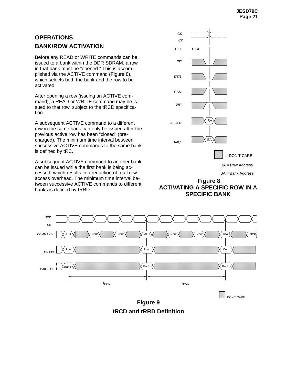## **OPERATIONS BANK/ROW ACTIVATION**

Before any READ or WRITE commands can be issued to a bank within the DDR SDRAM, a row in that bank must be "opened." This is accomplished via the ACTIVE command (Figure 8), which selects both the bank and the row to be activated.

After opening a row (issuing an ACTIVE command), a READ or WRITE command may be issued to that row, subject to the tRCD specification.

A subsequent ACTIVE command to a different row in the same bank can only be issued after the previous active row has been "closed" (precharged). The minimum time interval between successive ACTIVE commands to the same bank is defined by tRC.

A subsequent ACTIVE command to another bank can be issued while the first bank is being accessed, which results in a reduction of total row- access overhead. The minimum time interval between successive ACTIVE commands to different banks is defined by tRRD.



## **Figure 8 ACTIVATING A SPECIFIC ROW IN A SPECIFIC BANK**



**Figure 9 tRCD and tRRD Definition**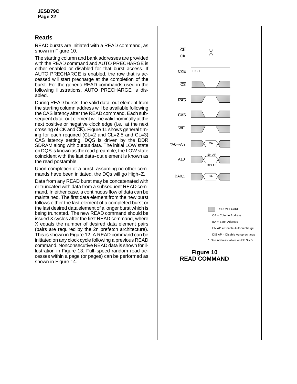## **Reads**

READ bursts are initiated with a READ command, as shown in Figure 10.

The starting column and bank addresses are provided with the READ command and AUTO PRECHARGE is either enabled or disabled for that burst access. If AUTO PRECHARGE is enabled, the row that is accessed will start precharge at the completion of the burst. For the generic READ commands used in the following illustrations, AUTO PRECHARGE is disabled.

During READ bursts, the valid data-out element from the starting column address will be available following the CAS latency after the READ command. Each subsequent data-out element will be valid nominally at the next positive or negative clock edge (i.e., at the next crossing of CK and  $\overline{CK}$ ). Figure 11 shows general timing for each required (CL=2 and CL=2.5 and CL=3) CAS latency setting. DQS is driven by the DDR SDRAM along with output data. The initial LOW state on DQS is known as the read preamble; the LOW state coincident with the last data-out element is known as the read postamble.

Upon completion of a burst, assuming no other commands have been initiated, the DQs will go High-Z.

Data from any READ burst may be concatenated with or truncated with data from a subsequent READ command. In either case, a continuous flow of data can be maintained. The first data element from the new burst follows either the last element of a completed burst or the last desired data element of a longer burst which is being truncated. The new READ command should be issued X cycles after the first READ command, where X equals the number of desired data element pairs (pairs are required by the 2n prefetch architecture). This is shown in Figure 12. A READ command can be initiated on any clock cycle following a previous READ command. Nonconsecutive READ data is shown for illustration in Figure 13. Full-speed random read accesses within a page (or pages) can be performed as shown in Figure 14.

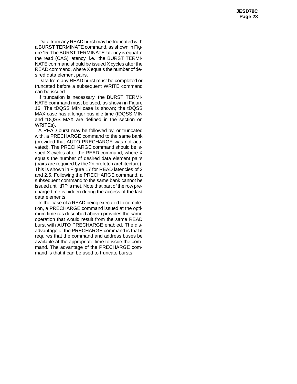Data from any READ burst may be truncated with a BURST TERMINATE command, as shown in Figure 15. The BURST TERMINATE latency is equalto the read (CAS) latency, i.e., the BURST TERMI-NATE command should be issued X cycles after the READ command, where X equals the number of desired data element pairs.

Data from any READ burst must be completed or truncated before a subsequent WRITE command can be issued.

If truncation is necessary, the BURST TERMI-NATE command must be used, as shown in Figure 16. The tDQSS MIN case is shown; the tDQSS MAX case has a longer bus idle time (tDQSS MIN and tDQSS MAX are defined in the section on WRITEs).

A READ burst may be followed by, or truncated with, a PRECHARGE command to the same bank (provided that AUTO PRECHARGE was not activated). The PRECHARGE command should be issued X cycles after the READ command, where X equals the number of desired data element pairs (pairs are required by the 2n prefetch architecture). This is shown in Figure 17 for READ latencies of 2 and 2.5. Following the PRECHARGE command, a subsequent command to the same bank cannot be issued until tRP is met. Note that part of the row precharge time is hidden during the access of the last data elements.

In the case of a READ being executed to completion, a PRECHARGE command issued at the optimum time (as described above) provides the same operation that would result from the same READ burst with AUTO PRECHARGE enabled. The disadvantage of the PRECHARGE command is that it requires that the command and address buses be available at the appropriate time to issue the command. The advantage of the PRECHARGE command is that it can be used to truncate bursts.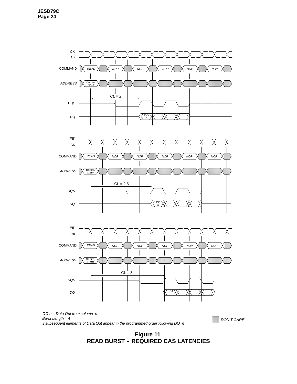

**Figure 11 READ BURST - REQUIRED CAS LATENCIES**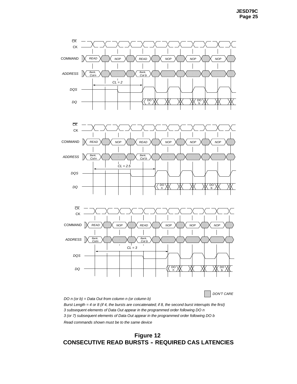

*3 (or 7) subsequent elements of Data Out appear in the programmed order following DO b Read commands shown must be to the same device*

## **Figure 12 CONSECUTIVE READ BURSTS - REQUIRED CAS LATENCIES**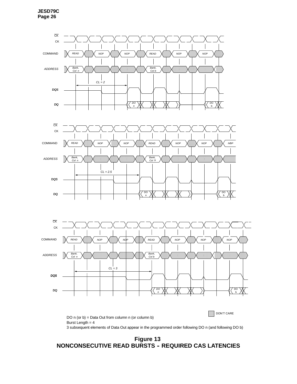

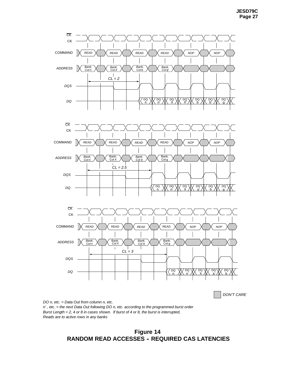

*DO n, etc. = Data Out from column n, etc. n' , etc. = the next Data Out following DO n, etc. according to the programmed burst order Burst Length = 2, 4 or 8 in cases shown. If burst of 4 or 8, the burst is interrupted, Reads are to active rows in any banks*

## **Figure 14 RANDOM READ ACCESSES -- REQUIRED CAS LATENCIES**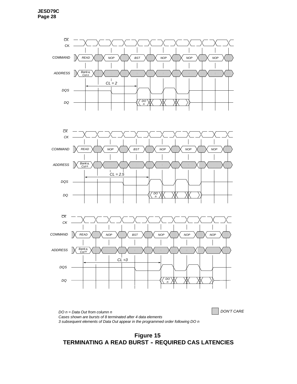

*Cases shown are bursts of 8 terminated after 4 data elements 3 subsequent elements of Data Out appear in the programmed order following DO n*

## **Figure 15 TERMINATING A READ BURST -- REQUIRED CAS LATENCIES**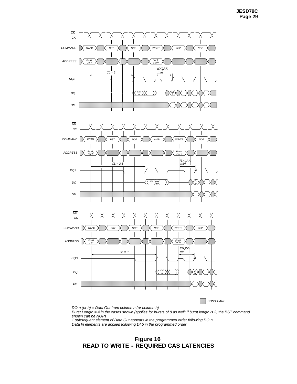

*Burst Length = 4 in the cases shown (applies for bursts of 8 as well; if burst length is 2, the BST command shown can be NOP)*

*1 subsequent element of Data Out appears in the programmed order following DO n Data In elements are applied following DI b in the programmed order*

## **Figure 16 READ TO WRITE - REQUIRED CAS LATENCIES**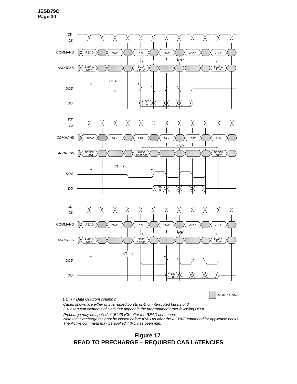

*Cases shown are either uninterrupted bursts of 4, or interrupted bursts of 8 3 subsequent elements of Data Out appear in the programmed order following DO n Precharge may be applied at (BL/2) tCK after the READ command. Note that Precharge may not be issued before tRAS ns after the ACTIVE command for applicable banks.*

*The Active command may be applied if tRC has been met.*

## **Figure 17 READ TO PRECHARGE - REQUIRED CAS LATENCIES**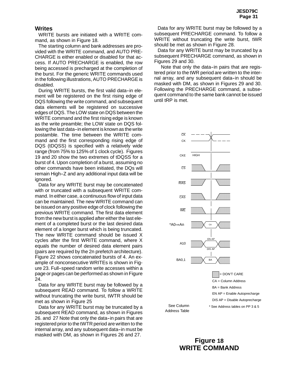#### **Writes**

WRITE bursts are initiated with a WRITE command, as shown in Figure 18.

The starting column and bank addresses are provided with the WRITE command, and AUTO PRE-CHARGE is either enabled or disabled for that access. If AUTO PRECHARGE is enabled, the row being accessed is precharged at the completion of the burst. For the generic WRITE commands used in the following illustrations, AUTO PRECHARGE is disabled.

During WRITE bursts, the first valid data-in element will be registered on the first rising edge of DQS following the write command, and subsequent data elements will be registered on successive edges of DQS. The LOW state on DQS between the WRITE command and the first rising edge is known as the write preamble; the LOW state on DQS following the last data--in element is known as the write postamble. The time between the WRITE command and the first corresponding rising edge of DQS (tDQSS) is specified with a relatively wide range (from 75% to 125% of 1 clock cycle). Figures 19 and 20 show the two extremes of tDQSS for a burst of 4. Upon completion of a burst, assuming no other commands have been initiated, the DQs will remain High--Z and any additional input data will be ignored.

Data for any WRITE burst may be concatenated with or truncated with a subsequent WRITE command. In either case, a continuous flow of input data can be maintained. The new WRITE command can be issued on any positive edge of clock following the previous WRITE command. The first data element from the new burst is applied after either the last element of a completed burst or the last desired data element of a longer burst which is being truncated. The new WRITE command should be issued X cycles after the first WRITE command, where X equals the number of desired data element pairs (pairs are required by the 2n prefetch architecture). Figure 22 shows concatenated bursts of 4. An example of nonconsecutive WRITEs is shown in Figure 23. Full--speed random write accesses within a page or pages can be performed as shown in Figure 24.

Data for any WRITE burst may be followed by a subsequent READ command. To follow a WRITE without truncating the write burst, tWTR should be met as shown in Figure 25

Data for any WRITE burst may be truncated by a subsequent READ command, as shown in Figures 26. and 27 Note that only the data--in pairs that are registered prior to the tWTR period are written to the internal array, and any subsequent data-in must be masked with DM, as shown in Figures 26 and 27.

Data for any WRITE burst may be followed by a subsequent PRECHARGE command. To follow a WRITE without truncating the write burst, tWR should be met as shown in Figure 28.

Data for any WRITE burst may be truncated by a subsequent PRECHARGE command, as shown in Figures 29 and 30.

Note that only the data-in pairs that are registered prior to the tWR period are written to the internal array, and any subsequent data-in should be masked with DM, as shown in Figures 29 and 30. Following the PRECHARGE command, a subsequent command to the same bank cannot be issued until tRP is met.



## **Figure 18 WRITE COMMAND**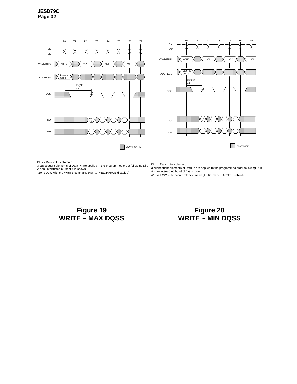

DI b = Data in for column b

3 subsequent elements of Data IN are applied in the programmed order following Di b A non--interrupted burst of 4 is shown A10 is LOW with the WRITE command (AUTO PRECHARGE disabled)

DI b = Data In for column b 3 subsequent elements of Data In are applied in the programmed order following DI b A non--interrupted burst of 4 is shown

A10 is LOW with the WRITE command (AUTO PRECHARGE disabled)

# WRITE - MAX DQSS WRITE - MIN DQSS

# **Figure 19 Figure 20**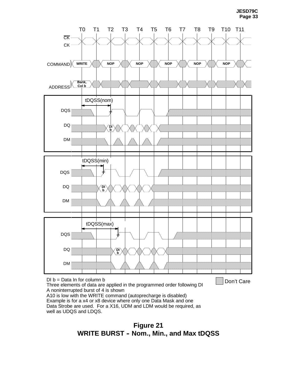

Three elements of data are applied in the programmed order following DI A noninterrupted burst of 4 is shown A10 is low with the WRITE command (autoprecharge is disabled) Example is for a x4 or x8 device where only one Data Mask and one Data Strobe are used. For a X16, UDM and LDM would be required, as

well as UDQS and LDQS.

# **Figure 21** WRITE BURST - Nom., Min., and Max tDQSS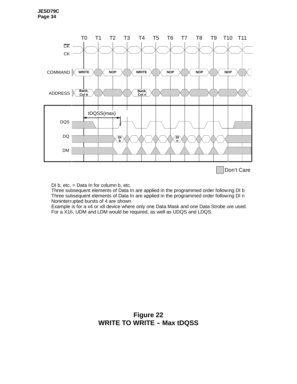

DI b, etc. = Data In for column b, etc.

Three subsequent elements of Data In are applied in the programmed order following DI b Three subsequent elements of Data In are applied in the programmed order following DI n Noninterrupted bursts of 4 are shown

Example is for a x4 or x8 device where only one Data Mask and one Data Strobe are used. For a X16, UDM and LDM would be required, as well as UDQS and LDQS.

## **Figure 22 WRITE TO WRITE - Max tDQSS**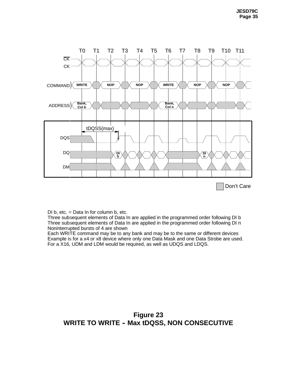

DI b, etc.  $=$  Data In for column b, etc.

Three subsequent elements of Data In are applied in the programmed order following DI b Three subsequent elements of Data In are applied in the programmed order following DI n Noninterrupted bursts of 4 are shown

Each WRITE command may be to any bank and may be to the same or different devices Example is for a x4 or x8 device where only one Data Mask and one Data Strobe are used. For a X16, UDM and LDM would be required, as well as UDQS and LDQS.

# **Figure 23 WRITE TO WRITE - Max tDQSS, NON CONSECUTIVE**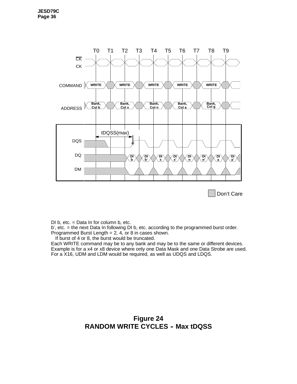

DI b, etc. = Data In for column b, etc.

b', etc. = the next Data In following DI b, etc. according to the programmed burst order. Programmed Burst Length =  $2, 4$ , or 8 in cases shown.

If burst of 4 or 8, the burst would be truncated.

Each WRITE command may be to any bank and may be to the same or different devices. Example is for a x4 or x8 device where only one Data Mask and one Data Strobe are used. For a X16, UDM and LDM would be required, as well as UDQS and LDQS.

# **Figure 24 RANDOM WRITE CYCLES - Max tDQSS**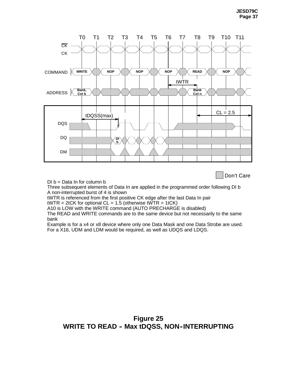

Don't Care

 $D1 b = Data In for column b$ 

Three subsequent elements of Data In are applied in the programmed order following DI b A non-interrupted burst of 4 is shown

tWTR is referenced from the first positive CK edge after the last Data In pair tWTR = 2tCK for optional  $CL = 1.5$  (otherwise tWTR = 1tCK)

A10 is LOW with the WRITE command (AUTO PRECHARGE is disabled)

The READ and WRITE commands are to the same device but not necessarily to the same bank

Example is for a x4 or x8 device where only one Data Mask and one Data Strobe are used. For a X16, UDM and LDM would be required, as well as UDQS and LDQS.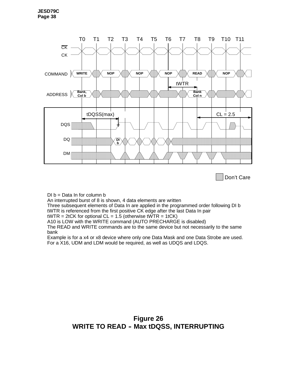

 $D1 b = Data In for column b$ 

An interrupted burst of 8 is shown, 4 data elements are written

Three subsequent elements of Data In are applied in the programmed order following DI b tWTR is referenced from the first positive CK edge after the last Data In pair

tWTR = 2tCK for optional  $CL = 1.5$  (otherwise tWTR = 1tCK)

A10 is LOW with the WRITE command (AUTO PRECHARGE is disabled)

The READ and WRITE commands are to the same device but not necessarily to the same bank

Example is for a x4 or x8 device where only one Data Mask and one Data Strobe are used. For a X16, UDM and LDM would be required, as well as UDQS and LDQS.

# **Figure 26 WRITE TO READ - Max tDQSS, INTERRUPTING**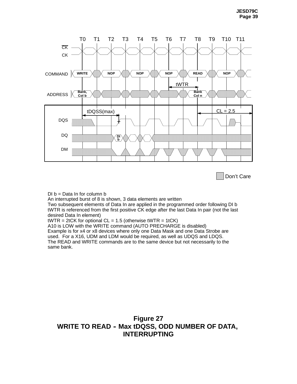

Don't Care

 $D1 b = Data In for column b$ 

An interrupted burst of 8 is shown, 3 data elements are written

Two subsequent elements of Data In are applied in the programmed order following DI b tWTR is referenced from the first positive CK edge after the last Data In pair (not the last desired Data In element)

 $tWTR = 2tCK$  for optional  $CL = 1.5$  (otherwise  $tWTR = 1tCK$ )

A10 is LOW with the WRITE command (AUTO PRECHARGE is disabled) Example is for x4 or x8 devices where only one Data Mask and one Data Strobe are used. For a X16, UDM and LDM would be required, as well as UDQS and LDQS. The READ and WRITE commands are to the same device but not necessarily to the same bank.

# **Figure 27 WRITE TO READ - Max tDQSS, ODD NUMBER OF DATA, INTERRUPTING**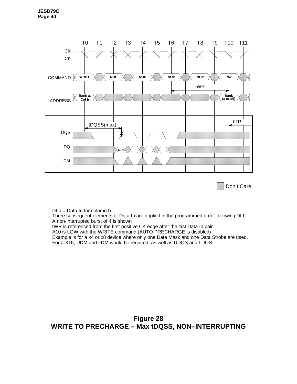

Don't Care

 $DI b = Data In for column b$ 

Three subsequent elements of Data In are applied in the programmed order following DI b A non-interrupted burst of 4 is shown

tWR is referenced from the first positive CK edge after the last Data In pair A10 is LOW with the WRITE command (AUTO PRECHARGE is disabled) Example is for a x4 or x8 device where only one Data Mask and one Data Strobe are used. For a X16, UDM and LDM would be required, as well as UDQS and LDQS.

# **Figure 28 WRITE TO PRECHARGE - Max tDQSS, NON-INTERRUPTING**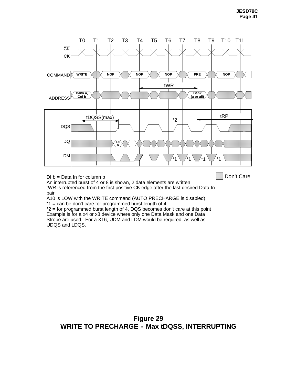

 $D1 b = Data In for column b$ 

Don't Care

An interrupted burst of 4 or 8 is shown, 2 data elements are written tWR is referenced from the first positive CK edge after the last desired Data In pair

A10 is LOW with the WRITE command (AUTO PRECHARGE is disabled)  $*1$  = can be don't care for programmed burst length of 4

\*2 = for programmed burst length of 4, DQS becomes don't care at this point Example is for a x4 or x8 device where only one Data Mask and one Data Strobe are used. For a X16, UDM and LDM would be required, as well as UDQS and LDQS.

# **Figure 29 WRITE TO PRECHARGE - Max tDQSS, INTERRUPTING**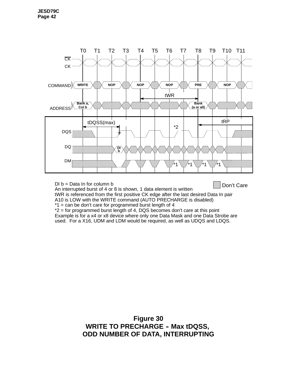

 $DI b = Data In for column b$ 

Don't Care

An interrupted burst of 4 or 8 is shown, 1 data element is written tWR is referenced from the first positive CK edge after the last desired Data In pair A10 is LOW with the WRITE command (AUTO PRECHARGE is disabled)  $*1$  = can be don't care for programmed burst length of 4

\*2 = for programmed burst length of 4, DQS becomes don't care at this point Example is for a x4 or x8 device where only one Data Mask and one Data Strobe are used. For a X16, UDM and LDM would be required, as well as UDQS and LDQS.

# **Figure 30 WRITE TO PRECHARGE - Max tDQSS, ODD NUMBER OF DATA, INTERRUPTING**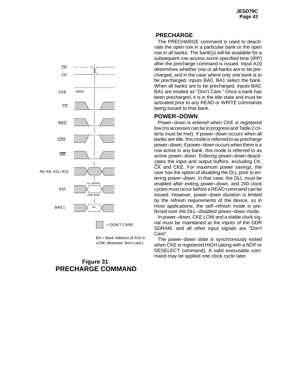

The PRECHARGE command is used to deactivate the open row in a particular bank or the open row in all banks. The bank(s) will be available for a subsequent row access some specified time (tRP) after the precharge command is issued. Input A10 determines whether one or all banks are to be precharged, and in the case where only one bank is to be precharged, inputs BA0, BA1 select the bank. When all banks are to be precharged, inputs BA0, BA1 are treated as "Don't Care." Once a bank has been precharged, it is in the idle state and must be activated prior to any READ or WRITE commands being issued to that bank.

#### **POWER--DOWN**

Power-down is entered when CKE is registered low (no accesses can be in progress and Table 2 criteria must be met). If power-down occurs when all banks are idle, this mode is referred to as precharge power-down; if power-down occurs when there is a row active in any bank, this mode is referred to as active power-down. Entering power-down deactivates the input and output buffers, excluding CK, CK and CKE. For maximum power savings, the user has the option of disabling the DLL prior to entering power-down. In that case, the DLL must be enabled after exiting power-down, and 200 clock cycles must occur before a READ command can be issued. However, power-down duration is limited by the refresh requirements of the device, so in most applications, the self--refresh mode is preferred over the DLL-disabled power-down mode.

In power-down, CKE LOW and a stable clock signal must be maintained at the inputs of the DDR SDRAM, and all other input signals are "Don't Care".

The power-down state is synchronously exited when CKE is registered HIGH (along with a NOP or DESELECT command). A valid executable command may be applied one clock cycle later.



BA = Bank Address (if A10 is LOW, otherwise 'don't care')

## **Figure 31 PRECHARGE COMMAND**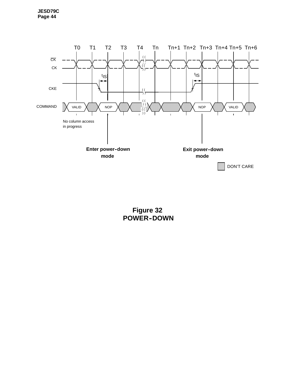

**Figure 32 POWER--DOWN**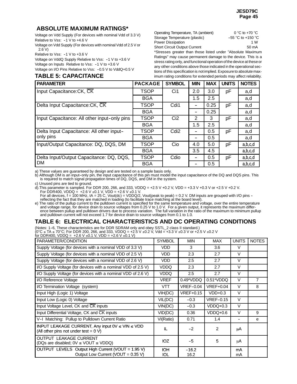## **ABSOLUTE MAXIMUM RATINGS\***

Voltage on Vdd Supply (For devices with nominal Vdd of 3.3 V) Relative to Vss:  $-1$  V to  $+4.6$  V

Voltage on Vdd Supply (For devices with nominal Vdd of 2.5 V or 2.6 V)

Relative to Vss:  $-1$  V to  $+3.6$  V

Voltage on VddQ Supply Relative to Vss: -1 V to +3.6 V Voltage on Inputs Relative to Vss:  $-1$  V to  $+3.6$  V

Voltage on I/O Pins Relative to Vss: -0.5 V to VddQ+0.5 V

## **TABLE 5: CAPACITANCE**

Operating Temperature, TA (ambient) 0 °C to +70 °C<br>Storage Temperature (plastic) -55 °C to +150 °C Storage Temperature (plastic) Power Dissipation 1 W Short Circuit Output Current 50 mA

\*Stresses greater than those listed under "Absolute Maximum Ratings" may cause permanent damage to the device. This is a stress rating only, and functional operation of the device at these or any other conditions above those indicated in the operational sections of this specification is not implied. Exposure to absolute maximum rating conditions for extended periods may affect reliability.

| <b>PARAMETER</b>                             | <b>PACKAGE</b> | <b>SYMBOL</b>    | <b>MIN</b> | <b>MAX</b> | <b>UNITS</b> | <b>NOTES</b> |
|----------------------------------------------|----------------|------------------|------------|------------|--------------|--------------|
| Input Capacitance: CK, CK                    | TSOP           | Ci1              | 2.0        | 3.0        | рF           | a,d          |
|                                              | <b>BGA</b>     |                  | 1.5        | 2.5        |              | a,d          |
| Delta Input Capacitance: CK, CK              | <b>TSOP</b>    | Cdi1             |            | 0.25       | рF           | a,d          |
|                                              | <b>BGA</b>     |                  |            | 0.25       |              | a,d          |
| Input Capacitance: All other input-only pins | TSOP           | Ci2              | 2          | 3          | рF           | a,d          |
|                                              | <b>BGA</b>     |                  | 1.5        | 2.5        |              | a,d          |
| Delta Input Capacitance: All other input-    | TSOP           | Cdi <sub>2</sub> |            | 0.5        | рF           | a,d          |
| only pins                                    | <b>BGA</b>     |                  |            | 0.5        |              | a,d          |
| Input/Output Capacitance: DQ, DQS, DM        | TSOP           | Cio              | 4.0        | 5.0        | рF           | a,b,c,d      |
|                                              | <b>BGA</b>     |                  | 3.5        | 4.5        |              | a,b,c,d      |
| Delta Input/Output Capacitance: DQ, DQS,     | TSOP           | Cdio             | -          | 0.5        | pF           | a,b,c,d      |
| DM                                           | <b>BGA</b>     |                  |            | 0.5        |              | a,b,c,d      |

a) These values are guaranteed by design and are tested on a sample basis only. b) Although DM is an input--only pin, the input capacitance of this pin must model the input capacitance of the DQ and DQS pins. This is required to match signal propagation times of DQ, DQS, and DM in the system.

c) Unused pins are tied to ground.

d).This parameter is sampled. For DDR 200, 266, and 333, VDDQ = +2.5 V +0.2 V, VDD = +3.3 V +0.3 V or +2.5 V +0.2 V. For DDR400, VDDQ = +2.6 V ±0.1 V, VDD = +2.6 V ±0.1 V.<br>For all devices, f = 100 MHz, tA = 25 C, Vout(dc) = VDDQ/2, Vout(peak to peak) = 0.2 V. DM inputs are grouped with I/O pins −

reflecting the fact that they are matched in loading (to facilitate trace matching at the board level).

e) The ratio of the pullup current to the pulldown current is specified for the same temperature and voltage, over the entire temperature and voltage range, for device drain to source voltages from 0.25 V to 1.0 V. For a given output, it represents the maximum difference between pullup and pulldown drivers due to process variation. The full variation in the ratio of the maximum to minimum pullup and pulldown current will not exceed 1.7 for device drain to source voltages from 0.1 to 1.0.

## **TABLE 6: ELECTRICAL CHARACTERISTICS AND DC OPERATING CONDITIONS**

(Notes: 1-6, These characteristics are for DDR SDRAM only and obey SSTL\_2 class II standard.)  $(0\degree$ C ≤ TA ≤ 70°C; For DDR 200, 266, and 333, VDDQ = +2.5 V ±0.2 V, Vdd = +3.3 V ±0.3 V or +2.5 V ±0.2 V for DDR400, VDDQ =  $+2.6$  V  $\pm$ 0.1 V, VDD =  $+2.6$  V  $\pm$ 0.1 V)

| PARAMETER/CONDITION                                                                                 | <b>SYMBOL</b>     | <b>MIN</b>       | <b>MAX</b>       | <b>UNITS</b> | <b>NOTES</b>   |
|-----------------------------------------------------------------------------------------------------|-------------------|------------------|------------------|--------------|----------------|
| Supply Voltage (for devices with a nominal VDD of 3.3 V)                                            | VDD.              | 3                | 3.6              | V            |                |
| Supply Voltage (for devices with a nominal VDD of 2.5 V)                                            | VDD.              | 2.3              | 2.7              | V            |                |
| Supply Voltage (for devices with a nominal VDD of 2.6 V)                                            | VDD.              | 2.5              | 2.7              | V            |                |
| I/O Supply Voltage (for devices with a nominal VDD of 2.5 V)                                        | VDDQ              | 2.3              | 2.7              | $\vee$       |                |
| I/O Supply Voltage (for devices with a nominal VDD of 2.6 V)                                        | VDDQ              | 2.5              | 2.7              | $\vee$       |                |
| I/O Reference Voltage                                                                               | VREF              | 0.49*VDDQ        | 0.51*VDDQ        | $\vee$       | $\overline{7}$ |
| I/O Termination Voltage (system)                                                                    | <b>VTT</b>        | <b>VREF-0.04</b> | <b>VREF+0.04</b> | $\vee$       | 8              |
| Input High (Logic 1) Voltage                                                                        | VIH(DC)           | <b>VREF+0.15</b> | $VDD+0.3$        | $\vee$       |                |
| Input Low (Logic 0) Voltage                                                                         | VIL(DC)           | $-0.3$           | <b>VREF-0.15</b> | $\vee$       |                |
| Input Voltage Level, CK and CK inputs                                                               | VIN(DC)           | $-0.3$           | $VDDQ+0.3$       | V            |                |
| Input Differential Voltage, CK and CK inputs                                                        | VID(DC)           | 0.36             | VDDQ+0.6         | V            | 9              |
| V-I Matching: Pullup to Pulldown Current Ratio                                                      | VI(Ratio)         | 0.71             | 1.4              | ۰            | e              |
| INPUT LEAKAGE CURRENT, Any input $0V \leq VIN \leq VDD$<br>(All other pins not under test = $0 V$ ) | IL                | $-2$             | $\overline{2}$   | μA           |                |
| <b>OUTPUT LEAKAGE CURRENT</b><br>(DQs are disabled; $0V \leq VOUT \leq VDDQ$ )                      | <b>IOZ</b>        | -5               | 5                | μA           |                |
| OUTPUT LEVELS Output High Current (VOUT = 1.95 V)<br>Output Low Current (VOUT = 0.35 V)             | <b>IOH</b><br>IOL | $-16.2$<br>16.2  |                  | mA<br>mA     |                |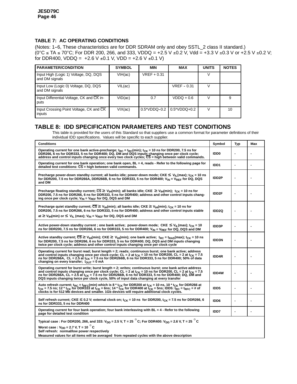#### **TABLE 7: AC OPERATING CONDITIONS**

(Notes: 1-6, These characteristics are for DDR SDRAM only and obey SSTL\_2 class II standard.)  $(0^{\circ}C \leq TA \leq 70^{\circ}C$ ; For DDR 200, 266, and 333, VDDQ = +2.5 V ±0.2 V, Vdd = +3.3 V ±0.3 V or +2.5 V ±0.2 V; for DDR400, VDDQ =  $+2.6$  V  $\pm$ 0.1 V, VDD =  $+2.6$  V  $\pm$ 0.1 V)

| <b>PARAMETER/CONDITION</b>                              | <b>SYMBOL</b> | <b>MIN</b>      | <b>MAX</b>         | <b>UNITS</b> | <b>NOTES</b> |
|---------------------------------------------------------|---------------|-----------------|--------------------|--------------|--------------|
| Input High (Logic 1) Voltage, DQ, DQS<br>and DM signals | VIH(ac)       | $VREF + 0.31$   |                    |              |              |
| Input Low (Logic 0) Voltage, DQ, DQS<br>and DM signals  | VIL(ac)       |                 | <b>VREF - 0.31</b> |              |              |
| Input Differential Voltage, CK and CK in-<br>puts       | VID(ac)       | 0.7             | $VDDQ + 0.6$       |              | 9            |
| Input Crossing Point Voltage, CK and CK<br>inputs       | VIX(ac)       | $0.5^*VDDQ-0.2$ | $0.5^*VDDQ+0.2$    |              | 10           |

## **TABLE 8: IDD SPECIFICATION PARAMETERS AND TEST CONDITIONS**

This table is provided for the users of this Standard so that suppliers use a common format for parameter definitions of their individual IDD specifications. Values will be specific to each supplier.

| <b>Conditions</b>                                                                                                                                                                                                                                                                                                                                                                                                                                                                           | Symbol            | <b>Typ</b> | Max |
|---------------------------------------------------------------------------------------------------------------------------------------------------------------------------------------------------------------------------------------------------------------------------------------------------------------------------------------------------------------------------------------------------------------------------------------------------------------------------------------------|-------------------|------------|-----|
| Operating current for one bank active-precharge; $t_{RC} = t_{RC}$ (min); $t_{CK}$ = 10 ns for DDR200, 7.5 ns for<br>DDR266, 6 ns for DDR333, 5 ns for DDR400; DQ, DM and DQS inputs changing once per clock cycle;<br>address and control inputs changing once every two clock cycles; $\overline{CS}$ = high between valid commands.                                                                                                                                                      | <b>IDD0</b>       |            |     |
| Operating current for one bank operation; one bank open, BL = 4, reads - Refer to the following page for<br>detailed test conditions: $\overline{CS}$ = high between valid commands.                                                                                                                                                                                                                                                                                                        | IDD1              | Ĭ.         |     |
| Precharge power-down standby current; all banks idle; power-down mode; CKE $\leq$ V <sub>IL</sub> (max); t <sub>CK</sub> = 10 ns<br>for DDR200, 7.5 ns for DDR266A, DDR266B, 6 ns for DDR333, 5 ns for DDR400; V <sub>IN</sub> = V <sub>RFF</sub> for DQ, DQS<br>and DM                                                                                                                                                                                                                     | <b>IDD2P</b>      |            |     |
| Precharge floating standby current; $\overline{CS} \ge V_{\text{H}}(min)$ ; all banks idle; CKE $\ge V_{\text{H}}(min)$ ; $t_{\text{CK}} = 10$ ns for<br>DDR200, 7.5 ns for DDR266, 6 ns for DDR333, 5 ns for DDR400; address and other control inputs chang-<br>ing once per clock cycle; $V_{IN} = V_{REF}$ for DQ, DQS and DM                                                                                                                                                            | <b>IDD2F</b>      |            |     |
| Precharge quiet standby current; $\overline{CS} \ge V_{\text{H}}(min)$ ; all banks idle; CKE $\ge V_{\text{H}}(min)$ ; t <sub>CK</sub> = 10 ns for<br>DDR200, 7.5 ns for DDR266, 6 ns for DDR333, 5 ns for DDR400; address and other control inputs stable<br>at $\geq$ V <sub>IH</sub> (min) or $\leq$ V <sub>II</sub> (max); V <sub>IN</sub> = V <sub>RFF</sub> for DQ, DQS and DM                                                                                                        | IDD <sub>2Q</sub> |            |     |
| Active power-down standby current; one bank active; power-down mode; CKE $\leq$ V <sub>II</sub> (max); t <sub>CK</sub> = 10<br>ns for DDR200, 7.5 ns for DDR266, 6 ns for DDR333, 5 ns for DDR400; $V_{IN} = V_{REF}$ for DQ, DQS and DM                                                                                                                                                                                                                                                    | <b>IDD3P</b>      |            |     |
| Active standby current; $\overline{CS} \ge V_{\text{H}}(min)$ ; $CKE \ge V_{\text{H}}(min)$ ; one bank active; $t_{\text{RC}} = t_{\text{RAS}}(max)$ ; $t_{\text{CK}} = 10$ ns<br>for DDR200, 7.5 ns for DDR266, 6 ns for DDR333, 5 ns for DDR400; DQ, DQS and DM inputs changing<br>twice per clock cycle; address and other control inputs changing once per clock cycle                                                                                                                  | <b>IDD3N</b>      |            |     |
| Operating current for burst read; burst length = 2; reads; continuous burst; one bank active; address<br>and control inputs changing once per clock cycle; CL = 2 at $t_{CK}$ = 10 ns for DDR200, CL = 2 at $t_{CK}$ = 7.5<br>ns for DDR266A, CL = 2.5 at $t_{CK}$ = 7.5 ns for DDR266B, 6 ns for DDR333, 5 ns for DDR400; 50% of data<br>changing on every transfer; $I_{\text{OUT}} = 0$ mA                                                                                               | <b>IDD4R</b>      |            |     |
| Operating current for burst write; burst length = 2; writes; continuous burst; one bank active address<br>and control inputs changing once per clock cycle; CL = 2 at $t_{CK}$ = 10 ns for DDR200, CL = 2 at $t_{CK}$ = 7.5<br>ns for DDR266A, CL = 2.5 at $t_{CK}$ = 7.5 ns for DDR266B, 6 ns for DDR333, 5 ns for DDR400; DQ, DM and<br>DQS inputs changing twice per clock cycle, 50% of input data changing at every transfer                                                           | <b>IDD4W</b>      |            |     |
| Auto refresh current; t <sub>RC</sub> = t <sub>RFC</sub> (min) which is 8 <sup>*</sup> t <sub>CK</sub> for DDR200 at t <sub>CK</sub> = 10 ns, 10 <sup>*</sup> t <sub>CK</sub> for DDR266 at<br>t <sub>CK</sub> = 7.5 ns; 12 * t <sub>CK</sub> for DDR333 at t <sub>CK</sub> = 6ns; 14 * t <sub>CK</sub> for DDR400 at t <sub>CK</sub> = 5ns; IDD5: t <sub>RC</sub> = t <sub>RFC</sub> = # of<br>clocks is for 512 Mb devices and smaller. 1Gb devices will require additional clock cycles. | IDD5              |            |     |
| Self refresh current; CKE $\leq$ 0.2 V; external clock on; $t_{CK}$ = 10 ns for DDR200, $t_{CK}$ = 7.5 ns for DDR266, 6<br>ns for DDR333, 5 ns for DDR400                                                                                                                                                                                                                                                                                                                                   | IDD <sub>6</sub>  | L,         |     |
| Operating current for four bank operation; four bank interleaving with $BL = 4$ - Refer to the following<br>page for detailed test condition                                                                                                                                                                                                                                                                                                                                                | IDD7              | ٠          |     |
| Typical case : For DDR200, 266, and 333: V <sub>DD</sub> = 2.5 V, T = 25 <sup>O</sup> C; For DDR400: V <sub>DD</sub> = 2.6 V, T = 25 <sup>O</sup> C<br>Worst case : $V_{DD}$ = 2.7 V, T = 10 $^{\circ}$ C<br>Self refresh: normal/low power respectively<br>Measured values for all items will be averaged from repeated cycles with the above description                                                                                                                                  |                   |            |     |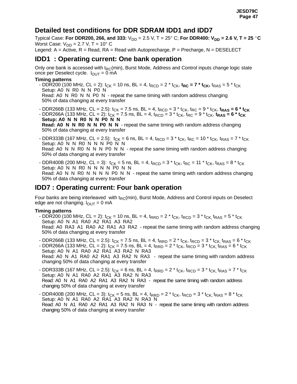## **Detailed test conditions for DDR SDRAM IDD1 and IDD7**

Typical Case: **For DDR200, 266, and 333:**  $V_{DD} = 2.5$  V, T = 25° C; **For DDR400:**  $V_{DD} = 2.6$  **V, T = 25** °C Worst Case:  $V_{DD} = 2.7$  V, T = 10 $^{\circ}$  C

Legend:  $A =$  Active,  $R =$  Read,  $RA =$  Read with Autoprecharge,  $P =$  Precharge,  $N =$  DESELECT

## **IDD1 : Operating current: One bank operation**

Only one bank is accessed with  $t_{RC}(min)$ , Burst Mode, Address and Control inputs change logic state once per Deselect cycle.  $I_{\text{OUT}} = 0$  mA

#### **Timing patterns**

- $-$  DDR200 (100 MHz, CL = 2):  $t_{CK}$  = 10 ns, BL = 4,  $t_{RCD}$  = 2  $*$   $t_{CK}$ ,  $t_{RC}$  = 7  $*$   $t_{CK}$ ,  $t_{RAS}$  = 5  $*$   $t_{CK}$ Setup: A0 N R0 N N P0 N Read: A0 N R0 N N P0 N - repeat the same timing with random address changing 50% of data changing at every transfer
- $-$  DDR266B (133 MHz, CL = 2.5):  $t_{CK}$  = 7.5 ns, BL = 4,  $t_{RCD}$  = 3  $*$   $t_{CK}$ ,  $t_{RC}$  = 9  $*$   $t_{CK}$ ,  $t_{RAS}$  = 6  $*$   $t_{CK}$
- DDR266A (133 MHz, CL = 2):  $t_{CK}$  = 7.5 ns, BL = 4,  $t_{RCD}$  = 3  $*$   $t_{CK}$ ,  $t_{RC}$  = 9  $*$   $t_{CK}$ ,  $t_{RAS}$  = 6  $*$   $t_{CK}$ **Setup: A0 N N R0 N N P0 N N Read: A0 N N R0 N N P0 N N** - repeat the same timing with random address changing 50% of data changing at every transfer
- DDR333B (167 MHz, CL = 2.5):  $t_{CK}$  = 6 ns, BL = 4,  $t_{RCD}$  = 3  $*$   $t_{CK}$ ,  $t_{RC}$  = 10  $*$   $t_{CK}$ ,  $t_{RAS}$  = 7  $*$   $t_{CK}$ Setup: A0 N N R0 N N N P0 N N Read: A0 N N R0 N N N P0 N N - repeat the same timing with random address changing 50% of data changing at every transfer
- DDR400B (200 MHz, CL = 3):  $t_{CK}$  = 5 ns, BL = 4,  $t_{RCD}$  = 3  $*$   $t_{CK}$ ,  $t_{RC}$  = 11  $*$   $t_{CK}$ ,  $t_{RAS}$  = 8  $*$   $t_{CK}$ Setup: A0 N N R0 N N N N P0 N N Read: A0 N N R0 N N N N P0 N N - repeat the same timing with random address changing 50% of data changing at every transfer

# **IDD7 : Operating current: Four bank operation**

Four banks are being interleaved with  $t_{RC}(min)$ , Burst Mode, Address and Control inputs on Deselect edge are not changing.  $I_{\text{OUT}} = 0 \text{ mA}$ 

#### **Timing patterns**

- DDR200 (100 MHz, CL = 2):  $t_{CK}$  = 10 ns, BL = 4,  $t_{RRD}$  = 2  $*$   $t_{CK}$ ,  $t_{RCD}$  = 3  $*$   $t_{CK}$ ,  $t_{RAS}$  = 5  $*$   $t_{CK}$ Setup: A0 N A1 RA0 A2 RA1 A3 RA2 Read: A0 RA3 A1 RA0 A2 RA1 A3 RA2 - repeat the same timing with random address changing 50% of data changing at every transfer
- DDR266B (133 MHz, CL = 2.5):  $t_{CK}$  = 7.5 ns, BL = 4,  $t_{RRD}$  = 2  $*$   $t_{CK}$ ,  $t_{RCD}$  = 3  $*$   $t_{CK}$ ,  $t_{RAS}$  = 6  $*$   $t_{CK}$
- DDR266A (133 MHz, CL = 2):  $t_{CK}$  = 7.5 ns, BL = 4,  $t_{RRD}$  = 2  $*$   $t_{CK}$ ,  $t_{RCD}$  = 3  $*$   $t_{CK}$ ,  $t_{RAS}$  = 6  $*$   $t_{CK}$ Setup: A0 N A1 RA0 A2 RA1 A3 RA2 N RA3 Read: A0 N A1 RA0 A2 RA1 A3 RA2 N RA3 - repeat the same timing with random address changing 50% of data changing at every transfer
- DDR333B (167 MHz, CL = 2.5):  $t_{CK}$  = 6 ns, BL = 4,  $t_{RRD}$  = 2  $*$   $t_{CK}$ ,  $t_{RCD}$  = 3  $*$   $t_{CK}$ ,  $t_{RAS}$  = 7  $*$   $t_{CK}$ Setup: A0 N A1 RA0 A2 RA1 A3 RA2 N RA3 Read: A0 N A1 RA0 A2 RA1 A3 RA2 N RA3 - repeat the same timing with random address changing 50% of data changing at every transfer
- DDR400B (200 MHz, CL = 3):  $t_{CK}$  = 5 ns, BL = 4,  $t_{RRD}$  = 2  $*$   $t_{CK}$ ,  $t_{RCD}$  = 3  $*$   $t_{CK}$   $t_{RAS}$  = 8  $*$   $t_{CK}$ Setup: A0 N A1 RA0 A2 RA1 A3 RA2 N RA3 N Read: A0 N A1 RA0 A2 RA1 A3 RA2 N RA3 N - repeat the same timing with random address changing 50% of data changing at every transfer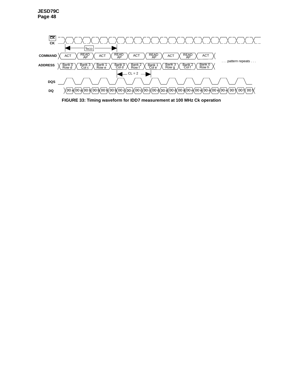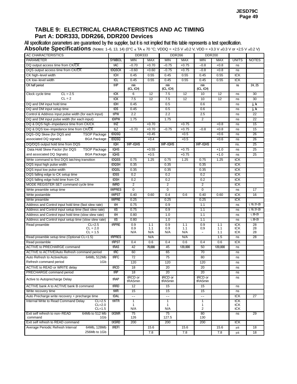## **TABLE 9: ELECTRICAL CHARACTERISTICS AND AC TIMING Part A: DDR333, DDR266, DDR200 Devices**

All specification parameters are guaranteed by the supplier, but it is not implied that this table represents a test specification.

**Absolute Specifications** (Notes: 1-6, 13, 14) (0°C ≤ TA ≤ 70 °C; VDDQ = +2.5 V ±0.2 V, VDD = +3.3 V ±0.3 V or +2.5 V ±0.2 V)

| AC CHARACTERISTICS                                                |              | <b>DDR333</b>      |                    |                    | <b>DDR266</b>      |                    | <b>DDR200</b> |              |              |
|-------------------------------------------------------------------|--------------|--------------------|--------------------|--------------------|--------------------|--------------------|---------------|--------------|--------------|
| <b>PARAMETER</b>                                                  | SYMBOL       | <b>MIN</b>         | <b>MAX</b>         | <b>MIN</b>         | MAX                | <b>MIN</b>         | <b>MAX</b>    | <b>UNITS</b> | <b>NOTES</b> |
|                                                                   | tAC          |                    |                    | $-0.75$            |                    | $-0.8$             |               |              |              |
| DQ output access time from CK/CK                                  | tDQSCK       | $-0.70$            | $+0.70$<br>$+0.60$ | $-0.75$            | $+0.75$<br>$+0.75$ |                    | $+0.8$        | ns           |              |
| DQS output access time from CK/CK                                 |              | $-0.60$            |                    |                    |                    | $-0.8$             | $+0.8$        | ns           |              |
| CK high-level width                                               | tCH          | 0.45               | 0.55               | 0.45               | 0.55               | 0.45               | 0.55          | tCK          |              |
| CK low-level width                                                | tCL          | 0.45               | 0.55               | 0.45               | 0.55               | 0.45               | 0.55          | tCK          |              |
| CK half period                                                    | tHP          | min<br>(tCL, tCH)  |                    | min<br>(tCL, tCH)  |                    | min<br>(tCL, tCH)  |               | ns           | 24, 25       |
| $CL = 2.5$<br>Clock cycle time                                    | tCK          | 6                  | 12                 | 7.5                | 12                 | 10                 | 12            | ns           | 30           |
| $CL = 2$                                                          | tCK          | 7.5                | 12                 | 7.5                | 12                 | 10                 | 12            | ns           | 30           |
| DQ and DM input hold time                                         | tDH          | 0.45               |                    | 0.5                |                    | 0.6                |               | ns           | j, k         |
| DQ and DM input setup time                                        | tDS          | 0.45               |                    | 0.5                |                    | 0.6                |               | ns           | j, k         |
| Control & Address input pulse width (for each input)              | tIPW         | 2.2                |                    | 2.2                |                    | 2.5                |               | ns           | 22           |
| DQ and DM input pulse width (for each input)                      | tDIPW        | 1.75               |                    | 1.75               |                    | $\overline{2}$     |               | ns           | 22           |
| DQ & DQS high-impedance time from CK/CK                           | tHZ          |                    | $+0.70$            |                    | $+0.75$            |                    | $+0.8$        | ns           | 15           |
| DQ & DQS low-impedance time from CK/CK                            | tLZ          | $-0.70$            | $+0.70$            | $-0.75$            | $+0.75$            | $-0.8$             | $+0.8$        | ns           | 15           |
| DQS-DQ Skew (for DQS and<br><b>TSOP Package</b>                   | tDQSQ        |                    | $+0.45$            |                    | $+0.5$             |                    | $+0.6$        | ns           | 26           |
| <b>BGA Package</b><br>associated DQ signals)                      | tDQSQ        |                    | $+0.4$             |                    | $+0.5$             |                    | $+0.6$        | ns           | 26           |
| DQ/DQS output hold time from DQS                                  | tQH          | tHP-tQHS           |                    | tHP-tQHS           |                    | tHP-tQHS           |               | ns.          | 25           |
| Data Hold Skew Factor (for DQS<br><b>TSOP Package</b>             | tQHS         |                    | $+0.55$            |                    | $+0.75$            |                    | $+1.0$        | ns           | 25           |
| and associated DQ Signals)<br><b>BGA Package</b>                  | tQHS         |                    | $+0.5$             |                    | $+0.75$            |                    | $+1.0$        | ns           | 25           |
| Write command to first DQS latching transition                    | tDQSS        | 0.75               |                    | 0.75               |                    | 0.75               |               |              |              |
|                                                                   |              |                    | 1.25               |                    | 1.25               |                    | 1.25          | tCK          |              |
| DQS input high pulse width                                        | tDQSH        | 0.35               |                    | 0.35               |                    | 0.35               |               | tCK          |              |
| DQS input low pulse width                                         | tDQSL        | 0.35               |                    | 0.35               |                    | 0.35               |               | tCK          |              |
| DQS falling edge to CK setup time                                 | tDSS         | 0.2                |                    | 0.2                |                    | 0.2                |               | tCK          |              |
| DQS falling edge hold time from CK                                | tDSH         | 0.2                |                    | 0.2                |                    | 0.2                |               | tCK          |              |
| MODE REGISTER SET command cycle time                              | tMRD         | 2                  |                    | $\overline{2}$     |                    | $\overline{2}$     |               | tCK          |              |
| Write preamble setup time                                         | tWPRES       | $\overline{0}$     |                    | $\overline{0}$     |                    | $\overline{0}$     |               | ns           | 17           |
| Write postamble                                                   | tWPST        | 0.40               | 0.60               | 0.4                | 0.6                | 0.40               | 0.60          | tCK          | 16           |
| Write preamble                                                    | tWPRE        | 0.25               |                    | 0.25               |                    | 0.25               |               | tCK          |              |
| Address and Control input hold time (fast slew rate)              | tlH          | 0.75               |                    | 0.9                |                    | 1.1                |               | ns           | i, 19, 21-23 |
| Address and Control input setup time (fast slew rate)             | tlS          | 0.75               |                    | 0.9                |                    | 1.1                |               | ns           | i, 19, 21-23 |
| Address and Control input hold time (slow slew rate)              | tlH          | 0.80               |                    | 1.0                |                    | 1.1                |               | ns           | $i, 20-23$   |
| Address and Control input setup time (slow slew rate)             | t S          | 0.80               |                    | 1.0                |                    | 1.1                |               | ns           | i, 20-23     |
| $CL=2.5$<br>Read preamble<br>$CL = 2.0$                           | tRPRE        | 0.9<br>0.9         | 1.1<br>1.1         | 0.9<br>0.9         | 1.1<br>1.1         | 0.9<br>0;9         | 1.1<br>1.1    | tCK<br>tCK   | 28<br>28     |
| $CL = 1.5$                                                        |              | N/A                | N/A                | N/A                | N/A                |                    | 1.1           | tCK          | 28           |
| Read preamble setup time (Optional CL=1.5)                        | tRPRES       |                    | N/A                |                    | N/A                |                    | 1.5           | ns           | 28           |
| Read postamble                                                    | tRPST        | 0.4                | 0.6                | 0.4                | 0.6                | 0.4                | 0.6           | tCK          |              |
| ACTIVE to PRECHARGE command                                       | tRAS         | 42                 | 70,000             | 45                 | 120,000            | 50                 | 120,000       | ns           |              |
| ACTIVE to ACTIVE/Auto Refresh command period                      | tRC          | 60                 |                    | 65                 |                    | 70                 |               | ns           |              |
| Auto Refresh to Active/Auto<br>64Mb, 512Mb                        | tRFC         | 72                 |                    | 75                 |                    | 80                 |               | ns           |              |
| 1Gb<br>Refresh command period                                     |              | 120                |                    | 120                |                    | 120                |               | ns           |              |
| ACTIVE to READ or WRITE delay                                     | tRCD         | 18                 |                    | 20                 |                    | 20                 |               | ns           |              |
| PRECHARGE command period                                          | tRP          | 18                 |                    | 20                 |                    | 20                 |               | ns           |              |
| Active to Autoprecharge Delay                                     | tRAP         | tRCD or<br>tRASmin |                    | tRCD or<br>tRASmin |                    | tRCD or<br>tRASmin |               | ns           |              |
| ACTIVE bank A to ACTIVE bank B command                            | tRRD         | 12                 |                    | 15                 |                    | 15                 |               | ns           |              |
| Write recovery time                                               | tWR          | 15                 |                    | 15                 |                    | 15                 |               | ns           |              |
| Auto Precharge write recovery + precharge time                    | tDAL         | --                 |                    | $\sim$ $\sim$      |                    | --                 |               | tCK          | 27           |
| Internal Write to Read Command Delay<br>$CL=2.5$<br>$CL=2.0$      | tWTR         | 1<br>1             |                    | 1<br>$\mathbf{1}$  |                    | 1<br>1             |               | tCK<br>tCK   |              |
| $CL=1.5$                                                          |              | N/A                |                    | N/A                |                    | 2                  |               | tCK          |              |
| Exit self refresh to non-READ<br>64Mb to 512 Mb<br>command<br>1Gb | <b>tXSNR</b> | 75<br>126          |                    | 75<br>127.5        |                    | 80<br>130          |               | ns           | 29           |
| Exit self refresh to READ command                                 | <b>tXSRD</b> | 200                |                    | 200                |                    | 200                |               | tCK          |              |
| Average Periodic Refresh Interval<br>64Mb, 128Mb                  | tREFI        |                    | 15.6               |                    | 15.6               |                    | 15.6          | μs           | 18           |
| 256Mb to 1Gb                                                      |              |                    | 7.8                |                    | 7.8                |                    | 7.8           | μs           | 18           |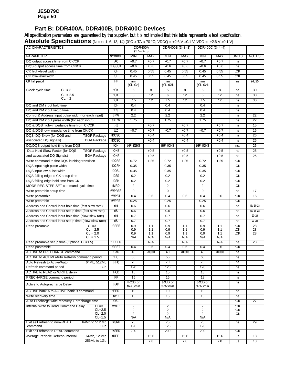## **Part B: DDR400A, DDR400B, DDR400C Devices**

All specification parameters are guaranteed by the supplier, but it is not implied that this table represents a test specification. **Absolute Specifications** (Notes: 1-6, 13, 14) (0°C ≤ TA ≤ 70 °C; VDDQ = +2.6 V ±0.1 V, VDD = +2.6 V ±0.1 V)

| <b>AC CHARACTERISTICS</b>                                         |               | <b>DDR400A</b><br>$(2.5 - 3 - 3)$ |             | DDR400B (3-3-3)    |                | DDR400C (3-4-4)    |                |              |               |
|-------------------------------------------------------------------|---------------|-----------------------------------|-------------|--------------------|----------------|--------------------|----------------|--------------|---------------|
| <b>PARAMETER</b>                                                  | <b>SYMBOL</b> | <b>MIN</b>                        | <b>MAX</b>  | <b>MIN</b>         | <b>MAX</b>     | <b>MIN</b>         | <b>MAX</b>     | <b>UNITS</b> | <b>NOTES</b>  |
| DQ output access time from CK/CK                                  | tAC           | $-0.7$                            | $+0.7$      | $-0.7$             | $+0.7$         | $-0.7$             | $+0.7$         | ns           |               |
| DQS output access time from CK/CK                                 | tDQSCK        | $-0.6$                            | $+0.6$      | $-0.6$             | $+0.6$         | $-0.6$             | $+0.6$         | ns           |               |
| CK high-level width                                               | tCH           | 0.45                              | 0.55        | 0.45               | 0.55           | 0.45               | 0.55           | tCK          |               |
| CK low-level width                                                | tCL           | 0.45                              | 0.55        | 0.45               | 0.55           | 0.45               | 0.55           | tCK          |               |
| CK half period                                                    | tHP           | min                               |             | min                |                | min                |                | ns           | 24, 25        |
|                                                                   |               | (tCL, tCH)                        |             | (tCL, tCH)         |                | (tCL, tCH)         |                |              |               |
| Clock cycle time<br>$CL = 3$                                      | tCK           | 5                                 | 8           | 5                  | $\overline{8}$ | 5                  | $\overline{8}$ | ns           | 30            |
| $CL = 2.5$<br>$CL = 2$                                            | tCK           | 5                                 | 12          | 6                  | 12             | 6                  | 12             | ns           | 30            |
|                                                                   | tCK           | 7.5                               | 12          | 7.5                | 12             | 7.5                | 12             | ns           | 30            |
| DQ and DM input hold time                                         | tDH           | 0.4                               |             | 0.4                |                | 0.4                |                | ns           |               |
| DQ and DM input setup time                                        | tDS           | 0.4                               |             | 0.4                |                | 0.4                |                | ns           |               |
| Control & Address input pulse width (for each input)              | tlPW          | 2.2                               |             | 2.2                |                | 2.2                |                | ns           | 22            |
| DQ and DM input pulse width (for each input)                      | tDIPW         | 1.75                              |             | 1.75               |                | 1.75               |                | ns           | 22            |
| DQ & DQS high-impedance time from CK/CK                           | tHZ           |                                   | $+0.7$      |                    | $+0.7$         |                    | $+0.7$         | ns           | 15            |
| DQ & DQS low-impedance time from CK/CK                            | tLZ           | $-0.7$                            | $+0.7$      | $-0.7$             | $+0.7$         | $-0.7$             | $+0.7$         | ns           | 15            |
| DQS-DQ Skew (for DQS and<br><b>TSOP Package</b>                   | tDQSQ         |                                   | $+0.4$      |                    | $+0.4$         |                    | $+0.4$         | ns           | 26            |
| associated DQ signals)<br><b>BGA Package</b>                      | tDQSQ         |                                   | $+0.4$      |                    | $+0.4$         |                    | $+0.4$         | ns           | 26            |
| DQ/DQS output hold time from DQS                                  | tQH           | tHP-tQHS                          |             | tHP-tQHS           |                | tHP-tQHS           |                | ns.          | 25            |
| <b>TSOP Package</b><br>Data Hold Skew Factor (for DQS             | tQHS          |                                   | $+0.5$      |                    | $+0.5$         |                    | $+0.5$         | ns           | 25            |
| <b>BGA Package</b><br>and associated DQ Signals)                  | tQHS          |                                   | $+0.5$      |                    | $+0.5$         |                    | $+0.5$         | ns           | 25            |
| Write command to first DQS latching transition                    | tDQSS         | 0.72                              | 1.25        | 0.72               | 1.25           | 0.72               | 1.25           | tCK          |               |
| DQS input high pulse width                                        | tDQSH         | 0.35                              |             | 0.35               |                | 0.35               |                | tCK          |               |
| DQS input low pulse width                                         | tDQSL         | 0.35                              |             | 0.35               |                | 0.35               |                | tCK          |               |
| DQS falling edge to CK setup time                                 | tDSS          | 0.2                               |             | 0.2                |                | 0.2                |                | tCK          |               |
| DQS falling edge hold time from CK                                | tDSH          | 0.2                               |             | 0.2                |                | 0.2                |                | tCK          |               |
| MODE REGISTER SET command cycle time                              | tMRD          | $\overline{2}$                    |             | 2                  |                | $\overline{2}$     |                | tCK          |               |
| Write preamble setup time                                         | tWPRES        | $\overline{0}$                    |             | $\overline{0}$     |                | $\overline{0}$     |                | ns           | 17            |
| Write postamble                                                   | tWPST         | 0.4                               | 0.6         | 0.4                | 0.6            | 0.4                | 0.6            | tCK          | 16            |
| Write preamble                                                    | tWPRE         | 0.25                              |             | 0.25               |                | 0.25               |                | tCK          |               |
| Address and Control input hold time (fast slew rate)              | tІН           | 0.6                               |             | 0.6                |                | 0.6                |                | ns           | $19, 21 - 23$ |
| Address and Control input setup time (fast slew rate)             | tIS           | 0.6                               |             | 0.6                |                | 0.6                |                | ns           | $19, 21 - 23$ |
|                                                                   |               |                                   |             |                    |                |                    |                |              |               |
|                                                                   |               |                                   |             |                    |                |                    |                |              |               |
| Address and Control input hold time (slow slew rate)              | tlH           | 0.7                               |             | 0.7                |                | 0.7                |                | ns           | $20 - 23$     |
| Address and Control input setup time (slow slew rate)             | tIS           | 0.7                               |             | 0.7                |                | 0.7                |                | ns           | $20 - 23$     |
| $CL=3$<br>Read preamble<br>$CL = 2.5$                             | tRPRE         | 0.9<br>0.9                        | 1.1<br>1.1  | 0.9<br>0.9         | 1.1<br>1.1     | 0.9<br>0.9         | 1.1<br>1.1     | tCK<br>tCK   | 28<br>28      |
| $CL = 2.0$                                                        |               | 0.9                               | 1.1         | 0.9                | 1.1            | 0;9                | 1.1            | tCK          | 28            |
| $CL = 1.5$                                                        |               | N/A                               | N/A         | N/A                | N/A            | N/A                | N/A            |              |               |
| Read preamble setup time (Optional CL=1.5)                        | tRPRES        |                                   | N/A         |                    | N/A            |                    | N/A            | ns           | 28            |
| Read postamble                                                    | tRPST         | 0.4                               | 0.6         | 0.4                | 0.6            | 0.4                | 0.6            | tCK          |               |
| <b>ACTIVE to PRECHARGE command</b>                                | tRAS          | 40                                | 70,000      | 40                 | 70,000         | 40                 | 70,000         | ns           |               |
| ACTIVE to ACTIVE/Auto Refresh command period                      | tRC           | 55                                |             | 55                 |                | 60                 |                | ns           |               |
| Auto Refresh to Active/Auto<br>64Mb, 512Mb                        | tRFC          | 70                                |             | 70                 |                | 70                 |                | ns           |               |
| 1Gb<br>Refresh command period                                     |               | 120                               |             | 120                |                | 120                |                | ns           |               |
| ACTIVE to READ or WRITE delay                                     | tRCD          | 15                                |             | 15                 |                | 18                 |                | ns           |               |
| PRECHARGE command period                                          | tRP           | 15                                |             | 15                 |                | 18                 |                | ns           |               |
| Active to Autoprecharge Delay                                     | tRAP          | tRCD or<br>tRASmin                |             | tRCD or<br>tRASmin |                | tRCD or<br>tRASmin |                | ns           |               |
| ACTIVE bank A to ACTIVE bank B command                            | tRRD          | 10                                |             | 10                 |                | 10                 |                | ns           |               |
| Write recovery time                                               | tWR           | 15                                |             | 15                 |                | 15                 |                | ns           |               |
| Auto Precharge write recovery + precharge time                    | tDAL          | H                                 |             | $- -$              |                | $\sim$ $\sim$      |                | tCK          | 27            |
| Internal Write to Read Command Delay  CL=3                        | tWTR          | $\overline{2}$                    |             | $\overline{2}$     |                | 2                  |                | tCK          |               |
| $CL=2.5$                                                          |               | 2                                 |             | 2                  |                | $\overline{c}$     |                | tCK          |               |
| $CL=2.0$                                                          |               | $\overline{2}$                    |             | 2                  |                | $\overline{2}$     |                | tCK          |               |
| $CL=1.5$                                                          |               | N/A                               |             | N/A                |                | N/A                |                |              |               |
| Exit self refresh to non-READ<br>64Mb to 512 Mb<br>1Gb<br>command | <b>tXSNR</b>  | 75<br>126                         |             | 75<br>126          |                | 75<br>126          |                | ns           | 29            |
| Exit self refresh to READ command                                 | <b>tXSRD</b>  | 200                               |             | 200                |                | 200                |                | tCK          |               |
| 64Mb, 128Mb<br>Average Periodic Refresh Interval<br>256Mb to 1Gb  | tREFI         |                                   | 15.6<br>7.8 |                    | 15.6<br>7.8    |                    | 15.6<br>7.8    | μs<br>μs     | 18<br>18      |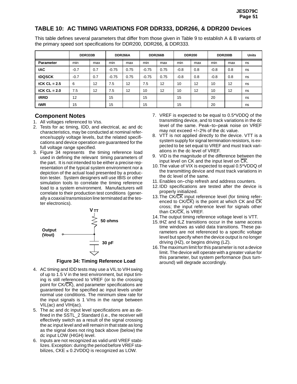### **TABLE 10: AC TIMING VARIATIONS FOR DDR333, DDR266, & DDR200 Devices**

This table defines several parameters that differ from those given in Table 9 to establish A & B variants of the primary speed sort specifications for DDR200, DDR266, & DDR333.

|                  | <b>DDR333B</b> |     | <b>DDR266A</b> |      | <b>DDR266B</b> |                   |        | <b>DDR200</b> |        | <b>DDR200B</b> | <b>Units</b> |
|------------------|----------------|-----|----------------|------|----------------|-------------------|--------|---------------|--------|----------------|--------------|
| <b>Parameter</b> | min            | max | min            | max  | min            | max               | min    | max           | min    | max            | ns           |
| tAC              | $-0.7$         | 0.7 | $-0.75$        | 0.75 | $-0.75$        | 0.75              | $-0.8$ | 0.8           | $-0.8$ | 0.8            | ns           |
| tDQSCK           | $-0.7$         | 0.7 | $-0.75$        | 0.75 | $-0.75$        | 0.75              | $-0.8$ | 0.8           | $-0.8$ | 0.8            | ns           |
| tCK $CL = 2.5$   | 6              | 12  | 7.5            | 12   | 7.5            | $12 \overline{ }$ | 10     | 12            | 10     | 12             | ns           |
| tCK $CL = 2.0$   | 7.5            | 12  | 7.5            | 12   | 10             | 12                | 10     | 12            | 10     | 12             | ns           |
| tRRD             | 12             |     | 15             |      | 15             |                   | 15     |               | 20     |                | ns           |
| tWR              | 15             |     | 15             |      | 15             |                   | 15     |               | 20     |                | ns           |

## **Component Notes**

- 1. All voltages referenced to Vss.
- 2. Tests for ac timing, IDD, and electrical, ac and dc characteristics, may be conducted at nominal reference/supply voltage levels, but the related specifications and device operation are guaranteed for the full voltage range specified.
- 3. Figure 34 represents the timing reference load used in defining the relevant timing parameters of the part. It is not intended to be either a precise representation of the typical system environment nor a depiction of the actual load presented by a production tester. System designers will use IBIS or other simulation tools to correlate the timing reference load to a system environment. Manufacturers will correlate to their production test conditions (generally a coaxial transmission line terminated at the tester electronics).



**Figure 34: Timing Reference Load**

- 4. AC timing and IDD tests may use a VIL to VIH swing of up to 1.5 V in the test environment, but input timing is still referenced to VREF (or to the crossing point for CK/CK), and parameter specifications are guaranteed for the specified ac input levels under normal use conditions. The minimum slew rate for the input signals is 1 V/ns in the range between VIL(ac) and VIH(ac).
- 5. The ac and dc input level specifications are as defined in the SSTL\_2 Standard (i.e., the receiver will effectively switch as a result of the signal crossing the ac input level and will remain in that state as long as the signal does not ring back above (below) the dc input LOW (HIGH) level.
- 6. Inputs are not recognized as valid until VREF stabilizes. Exception: during the period before VREF stabilizes,  $CKE \leq 0.2VDDQ$  is recognized as LOW.
- 7. VREF is expected to be equal to 0.5\*VDDQ of the transmitting device, and to track variations in the dc level of the same. Peak-to-peak noise on VREF may not exceed  $+/-2%$  of the dc value.
- 8. VTT is not applied directly to the device. VTT is a system supply for signal termination resistors, is expected to be set equal to VREF and must track variations in the dc level of VREF.
- 9. VID is the magnitude of the difference between the input level on CK and the input level on CK.
- 10. The value of VIX is expected to equal 0.5\*VDDQ of the transmitting device and must track variations in the dc level of the same.
- 11. Enables on-chip refresh and address counters.
- 12.IDD specifications are tested after the device is properly initialized.
- 13. The CK/CK input reference level (for timing referenced to CK/CK) is the point at which CK and CK cross; the input reference level for signals other than CK/CK, is VREF.
- 14. The output timing reference voltage level is VTT.
- 15.tHZ and tLZ transitions occur in the same access time windows as valid data transitions. These parameters are not referenced to a specific voltage level but specify when the device output is no longer driving (HZ), or begins driving (LZ).
- 16. The maximum limit for this parameter is not a device limit. The device will operate with a greater value for this parameter, but system performance (bus turnaround) will degrade accordingly.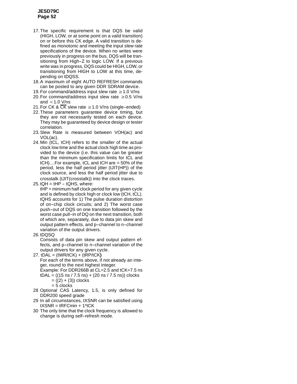- 17. The specific requirement is that DQS be valid (HIGH, LOW, or at some point on a valid transition) on or before this CK edge. A valid transition is defined as monotonic and meeting the input slew rate specifications of the device. When no writes were previously in progress on the bus, DQS will be transitioning from High-Z to logic LOW. If a previous write was in progress, DQS could be HIGH, LOW, or transitioning from HIGH to LOW at this time, depending on tDQSS.
- 18.A maximum of eight AUTO REFRESH commands can be posted to any given DDR SDRAM device.
- 19. For command/address input slew rate ≥1.0 V/ns
- 20. For command/address input slew rate  $\geq$  0.5 V/ns and  $<$  1.0 V/ns
- 21. For CK &  $\overline{CK}$  slew rate  $\geq$  1.0 V/ns (single-ended)
- 22. These parameters guarantee device timing, but they are not necessarily tested on each device. They may be guaranteed by device design or tester correlation.
- 23.Slew Rate is measured between VOH(ac) and VOL(ac).
- 24.Min (tCL, tCH) refers to the smaller of the actual clock low time and the actual clock high time as provided to the device (i.e. this value can be greater than the minimum specification limits for tCL and tCH)....For example, tCL and tCH are = 50% of the period, less the half period jitter (tJIT(HP)) of the clock source, and less the half period jitter due to crosstalk (tJIT(crosstalk)) into the clock traces.
- $25. tQH = tHP tQHS$ , where:
	- tHP = minimum half clock period for any given cycle and is defined by clock high or clock low (tCH, tCL). tQHS accounts for 1) The pulse duration distortion of on--chip clock circuits; and 2) The worst case push--out of DQS on one transition followed by the worst case pull-in of DQ on the next transition, both of which are, separately, due to data pin skew and output pattern effects, and p-channel to n-channel variation of the output drivers.
- 26.tDQSQ

Consists of data pin skew and output pattern effects, and p-channel to n-channel variation of the output drivers for any given cycle.

27. tDAL = (tWR/tCK) + (tRP/tCK**)** For each of the terms above, if not already an integer, round to the next highest integer.

Example: For DDR266B at CL=2.5 and tCK=7.5 ns  $tDAL = ((15 ns / 7.5 ns) + (20 ns / 7.5 ns))$  clocks  $= ((2) + (3))$  clocks

- $= 5$  clocks
- 28 Optional CAS Latency, 1.5, is only defined for DDR200 speed grade
- 29 In all circumstances, tXSNR can be satisfied using  $tXSNR = tRFCmin + 1*tCK$
- 30 The only time that the clock frequency is allowed to change is during self--refresh mode.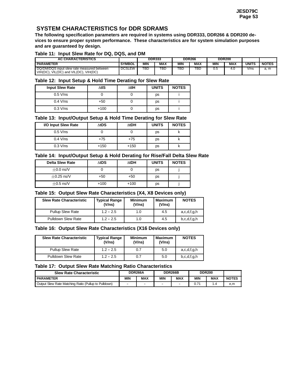### **SYSTEM CHARACTERISTICS for DDR SDRAMS**

**The following specification parameters are required in systems using DDR333, DDR266 & DDR200 devices to ensure proper system performance. These characteristics are for system simulation purposes and are guaranteed by design.**

#### **Table 11: Input Slew Rate for DQ, DQS, and DM**

| AC CHARACTERISTICS                                                                          |               |            | <b>DDR333</b> |     | <b>DDR266</b> |     | <b>DDR200</b> |       |              |
|---------------------------------------------------------------------------------------------|---------------|------------|---------------|-----|---------------|-----|---------------|-------|--------------|
| <b>TPARAMETER</b>                                                                           | <b>SYMBOL</b> | <b>MIN</b> | MAX           | MIN | MAX           | MIN | MAX           | UNITS | <b>NOTES</b> |
| DQ/DM/DQS input slew rate measured between<br>. VIL(DC) and VIL(DC).<br>VIH(DC)<br>VIH(DC). | <b>DCSLEW</b> | "BL        | ΈC            | ВC  | TBD           | U.J | 4.U           | V/ns  | a, m         |

#### **Table 12: Input Setup & Hold Time Derating for Slew Rate**

| <b>Input Slew Rate</b> | ∆tlS  | ∆tlH | <b>UNITS</b> | <b>NOTES</b> |
|------------------------|-------|------|--------------|--------------|
| $0.5$ V/ns             |       |      | ps           |              |
| $0.4$ V/ns             | $+50$ |      | ps           |              |
| $0.3$ V/ns             | +100  |      | ps           |              |

#### **Table 13: Input/Output Setup & Hold Time Derating for Slew Rate**

| I/O Input Slew Rate | $\Delta$ tDS | $\Delta t$ DH | <b>UNITS</b> | <b>NOTES</b> |
|---------------------|--------------|---------------|--------------|--------------|
| $0.5$ V/ns          |              |               | ps           |              |
| $0.4$ V/ns          | $+75$        | $+75$         | рs           |              |
| $0.3$ V/ns          | $+150$       | $+150$        | рs           |              |

#### **Table 14: Input/Output Setup & Hold Derating for Rise/Fall Delta Slew Rate**

| <b>Delta Slew Rate</b> | $\Delta t$ DS | ∧tDH | <b>UNITS</b> | <b>NOTES</b> |
|------------------------|---------------|------|--------------|--------------|
| $+0.0$ ns/V            |               |      | ps           |              |
| $+0.25$ ns/V           | $+50$         | +50  | ps           |              |
| $+0.5$ ns/V            | +100          | +100 | ĎS           |              |

#### **Table 15: Output Slew Rate Characteristics (X4, X8 Devices only)**

| <b>Slew Rate Characteristic</b> | <b>Typical Range</b><br>(V/ns) |     | <b>Maximum</b><br>(V/ns) | <b>NOTES</b>     |  |
|---------------------------------|--------------------------------|-----|--------------------------|------------------|--|
| <b>Pullup Slew Rate</b>         | $1.2 - 2.5$                    | 1.0 | 4.5                      | a, c, d, f, g, h |  |
| Pulldown Slew Rate              | $1.2 - 2.5$                    | 1.0 | 4.5                      | b,c,d,f,g,h      |  |

#### **Table 16: Output Slew Rate Characteristics (X16 Devices only)**

| <b>Slew Rate Characteristic</b> | <b>Typical Range</b><br><b>Minimum</b><br>(V/ns)<br>(V/ns) |     | <b>Maximum</b><br>(V/ns) | <b>NOTES</b> |  |
|---------------------------------|------------------------------------------------------------|-----|--------------------------|--------------|--|
| <b>Pullup Slew Rate</b>         | $1.2 - 2.5$                                                | 0.7 | 5.0                      | a,c,d,f,g,h  |  |
| Pulldown Slew Rate              | $1.2 - 2.5$                                                | 0.7 | 5.0                      | b,c,d,f,g,h  |  |

#### **Table 17: Output Slew Rate Matching Ratio Characteristics**

| <b>Slew Rate Characteristic</b>                      | <b>DDR266B</b><br><b>DDR266A</b> |                          | <b>DDR200</b>            |            |      |            |              |
|------------------------------------------------------|----------------------------------|--------------------------|--------------------------|------------|------|------------|--------------|
| <b>PARAMETER</b>                                     | MIN                              | <b>MAX</b>               | MIN                      | <b>MAX</b> | MIN  | <b>MAX</b> | <b>NOTES</b> |
| Output Slew Rate Matching Ratio (Pullup to Pulldown) | $\overline{\phantom{0}}$         | $\overline{\phantom{0}}$ | $\overline{\phantom{a}}$ | -          | 0.7' | .          | e.m          |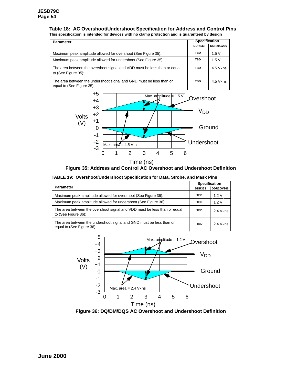| Table 18: AC Overshoot/Undershoot Specification for Address and Control Pins                    |
|-------------------------------------------------------------------------------------------------|
| This specification is intended for devices with no clamp protection and is guaranteed by design |

| <b>Parameter</b>                                                                                 | <b>Specification</b> |              |  |
|--------------------------------------------------------------------------------------------------|----------------------|--------------|--|
|                                                                                                  | <b>DDR333</b>        | DDR200/266   |  |
| Maximum peak amplitude allowed for overshoot (See Figure 35):                                    | <b>TBD</b>           | 1.5V         |  |
| Maximum peak amplitude allowed for undershoot (See Figure 35):                                   | <b>TBD</b>           | 1.5V         |  |
| The area between the overshoot signal and VDD must be less than or equal<br>to (See Figure 35):  | <b>TBD</b>           | $4.5 V - ns$ |  |
| The area between the undershoot signal and GND must be less than or<br>equal to (See Figure 35): | <b>TBD</b>           | $4.5$ V-ns   |  |



**Figure 35: Address and Control AC Overshoot and Undershoot Definition**

**TABLE 19: Overshoot/Undershoot Specification for Data, Strobe, and Mask Pins**

|                                                                                                  | <b>Specification</b> |            |  |
|--------------------------------------------------------------------------------------------------|----------------------|------------|--|
| <b>Parameter</b>                                                                                 | <b>DDR333</b>        | DDR200/266 |  |
| Maximum peak amplitude allowed for overshoot (See Figure 36):                                    | TBD                  | 1.2V       |  |
| Maximum peak amplitude allowed for undershoot (See Figure 36):                                   | TBD                  | 1.2V       |  |
| The area between the overshoot signal and VDD must be less than or equal<br>to (See Figure 36):  | TBD                  | $2.4$ V-ns |  |
| The area between the undershoot signal and GND must be less than or<br>equal to (See Figure 36): | TBD                  | $2.4$ V-ns |  |



**Figure 36: DQ/DM/DQS AC Overshoot and Undershoot Definition**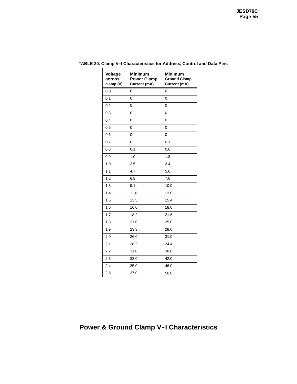| <b>Voltage</b><br>across<br>clamp (V) | <b>Minimum</b><br><b>Power Clamp</b><br>Current (mA) | <b>Minimum</b><br><b>Ground Clamp</b><br>Current (mA) |
|---------------------------------------|------------------------------------------------------|-------------------------------------------------------|
| 0.0                                   | 0                                                    | 0                                                     |
| 0.1                                   | 0                                                    | 0                                                     |
| 0.2                                   | 0                                                    | 0                                                     |
| 0.3                                   | 0                                                    | 0                                                     |
| 0.4                                   | 0                                                    | 0                                                     |
| 0.5                                   | 0                                                    | 0                                                     |
| 0.6                                   | 0                                                    | 0                                                     |
| 0.7                                   | 0                                                    | 0.1                                                   |
| 0.8                                   | 0.1                                                  | 0.6                                                   |
| 0.9                                   | 1.0                                                  | 1.8                                                   |
| 1.0                                   | 2.5                                                  | 3.4                                                   |
| 1.1                                   | 4.7                                                  | 5.6                                                   |
| 1.2                                   | 6.8                                                  | 7.6                                                   |
| 1.3                                   | 9.1                                                  | 10.0                                                  |
| 1.4                                   | 11.0                                                 | 13.0                                                  |
| 1.5                                   | 13.5                                                 | 15.4                                                  |
| 1.6                                   | 16.0                                                 | 18.0                                                  |
| 1.7                                   | 18.2                                                 | 21.6                                                  |
| 1.8                                   | 21.0                                                 | 25.0                                                  |
| 1.9                                   | 23.3                                                 | 28.0                                                  |
| 2.0                                   | 26.0                                                 | 31.0                                                  |
| 2.1                                   | 28.2                                                 | 34.4                                                  |
| 2.2                                   | 31.0                                                 | 38.0                                                  |
| 2.3                                   | 33.0                                                 | 42.0                                                  |
| 2.4                                   | 35.0                                                 | 46.0                                                  |
| 2.5                                   | 37.0                                                 | 50.0                                                  |

#### **TABLE 20. Clamp V--I Characteristics for Address, Control and Data Pins**

**Power & Ground Clamp V-I Characteristics**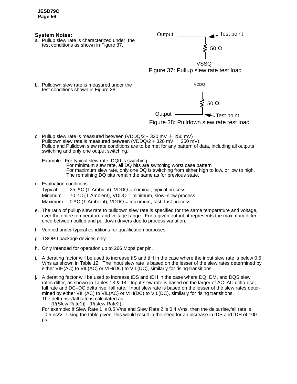#### **System Notes:**

a. Pullup slew rate is characterized under the test conditions as shown in Figure 37.



b. Pulldown slew rate is measured under the test conditions shown in Figure 38.



c. Pullup slew rate is measured between (VDDQ/2 - 320 mV  $\pm$  250 mV) Pulldown slew rate is measured between (VDDQ/2 + 320 mV  $\pm$  250 mV) Pullup and Pulldown slew rate conditions are to be met for any pattern of data, including all outputs switching and only one output switching.

- Example: For typical slew rate, DQ0 is switching For minimum slew rate, all DQ bits are switching worst case pattern For maximum slew rate, only one DQ is switching from either high to low, or low to high. The remaining DQ bits remain the same as for previous state.
- d. Evaluation conditions
	- Typical: 25  $\,^{\circ}$ C (T Ambient), VDDQ = nominal, typical process Minimum: 70 °C (T Ambient), VDDQ = minimum, slow-slow process Maximum:  $0 °C$  (T Ambient), VDDQ = maximum, fast-fast process
- e. The ratio of pullup slew rate to pulldown slew rate is specified for the same temperature and voltage, over the entire temperature and voltage range. For a given output, it represents the maximum difference between pullup and pulldown drivers due to process variation.
- f. Verified under typical conditions for qualification purposes.
- g. TSOPII package devices only.
- h. Only intended for operation up to 266 Mbps per pin.
- i. A derating factor will be used to increase tIS and tIH in the case where the input slew rate is below 0.5 V/ns as shown in Table 12. The Input slew rate is based on the lesser of the slew rates determined by either VIH(AC) to VIL(AC) or VIH(DC) to VIL(DC), similarly for rising transitions.
- j. A derating factor will be used to increase tDS and tDH in the case where DQ, DM, and DQS slew rates differ, as shown in Tables 13 & 14. Input slew rate is based on the larger of AC-AC delta rise, fall rate and DC-DC delta rise, fall rate. Input slew rate is based on the lesser of the slew rates determined by either VIH(AC) to VIL(AC) or VIH(DC) to VIL(DC), similarly for rising transitions. The delta rise/fall rate is calculated as:

{1/(Slew Rate1)}--{1/(slew Rate2)}

For example: If Slew Rate 1 is 0.5 V/ns and Slew Rate 2 is 0.4 V/ns, then the delta rise,fall rate is -0.5 ns/V. Using the table given, this would result in the need for an increase in tDS and tDH of 100 ps.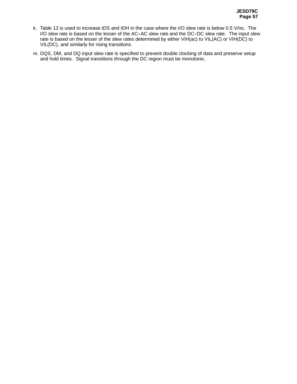- k. Table 13 is used to increase tDS and tDH in the case where the I/O slew rate is below 0.5 V/ns. The I/O slew rate is based on the lesser of the AC-AC slew rate and the DC-DC slew rate. The input slew rate is based on the lesser of the slew rates determined by either VIH(ac) to VIL(AC) or VIH(DC) to VIL(DC), and similarly for rising transitions.
- m. DQS, DM, and DQ input slew rate is specified to prevent double clocking of data and preserve setup and hold times. Signal transitions through the DC region must be monotonic.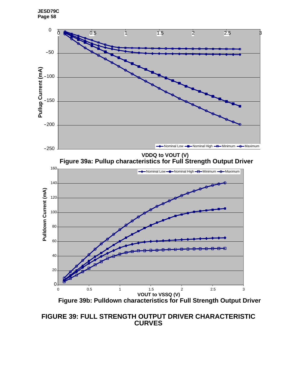

**Figure 39b: Pulldown characteristics for Full Strength Output Driver**

**FIGURE 39: FULL STRENGTH OUTPUT DRIVER CHARACTERISTIC CURVES**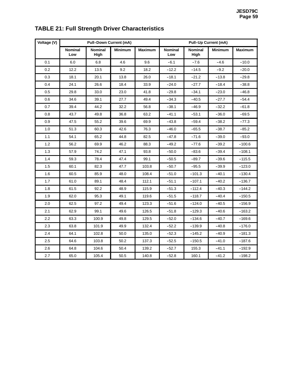| Voltage (V) | <b>Pull-Down Current (mA)</b> |                        |                | Pull-Up Current (mA) |                       |                        |                |                |
|-------------|-------------------------------|------------------------|----------------|----------------------|-----------------------|------------------------|----------------|----------------|
|             | <b>Nominal</b><br>Low         | <b>Nominal</b><br>High | <b>Minimum</b> | <b>Maximum</b>       | <b>Nominal</b><br>Low | <b>Nominal</b><br>High | <b>Minimum</b> | <b>Maximum</b> |
| 0.1         | 6.0                           | 6.8                    | 4.6            | 9.6                  | $-6.1$                | $-7.6$                 | $-4.6$         | $-10.0$        |
| 0.2         | 12.2                          | 13.5                   | 9.2            | 18.2                 | $-12.2$               | -14.5                  | $-9.2$         | $-20.0$        |
| 0.3         | 18.1                          | 20.1                   | 13.8           | 26.0                 | $-18.1$               | $-21.2$                | $-13.8$        | $-29.8$        |
| 0.4         | 24.1                          | 26.6                   | 18.4           | 33.9                 | $-24.0$               | $-27.7$                | $-18.4$        | $-38.8$        |
| 0.5         | 29.8                          | 33.0                   | 23.0           | 41.8                 | $-29.8$               | $-34.1$                | $-23.0$        | $-46.8$        |
| 0.6         | 34.6                          | 39.1                   | 27.7           | 49.4                 | $-34.3$               | $-40.5$                | $-27.7$        | $-54.4$        |
| 0.7         | 39.4                          | 44.2                   | 32.2           | 56.8                 | $-38.1$               | $-46.9$                | $-32.2$        | $-61.8$        |
| 0.8         | 43.7                          | 49.8                   | 36.8           | 63.2                 | $-41.1$               | $-53.1$                | $-36.0$        | $-69.5$        |
| 0.9         | 47.5                          | 55.2                   | 39.6           | 69.9                 | $-43.8$               | -59.4                  | $-38.2$        | $-77.3$        |
| 1.0         | 51.3                          | 60.3                   | 42.6           | 76.3                 | $-46.0$               | -65.5                  | $-38.7$        | $-85.2$        |
| 1.1         | 54.1                          | 65.2                   | 44.8           | 82.5                 | $-47.8$               | $-71.6$                | $-39.0$        | $-93.0$        |
| 1.2         | 56.2                          | 69.9                   | 46.2           | 88.3                 | $-49.2$               | -77.6                  | $-39.2$        | $-100.6$       |
| 1.3         | 57.9                          | 74.2                   | 47.1           | 93.8                 | $-50.0$               | $-83.6$                | $-39.4$        | $-108.1$       |
| 1.4         | 59.3                          | 78.4                   | 47.4           | 99.1                 | $-50.5$               | -89.7                  | $-39.6$        | $-115.5$       |
| 1.5         | 60.1                          | 82.3                   | 47.7           | 103.8                | $-50.7$               | $-95.5$                | $-39.9$        | $-123.0$       |
| 1.6         | 60.5                          | 85.9                   | 48.0           | 108.4                | $-51.0$               | $-101.3$               | $-40.1$        | $-130.4$       |
| 1.7         | 61.0                          | 89.1                   | 48.4           | 112.1                | $-51.1$               | $-107.1$               | $-40.2$        | $-136.7$       |
| 1.8         | 61.5                          | 92.2                   | 48.9           | 115.9                | $-51.3$               | $-112.4$               | $-40.3$        | -144.2         |
| 1.9         | 62.0                          | 95.3                   | 49.1           | 119.6                | $-51.5$               | $-118.7$               | $-40.4$        | $-150.5$       |
| 2.0         | 62.5                          | 97.2                   | 49.4           | 123.3                | $-51.6$               | $-124.0$               | $-40.5$        | $-156.9$       |
| 2.1         | 62.9                          | 99.1                   | 49.6           | 126.5                | $-51.8$               | $-129.3$               | $-40.6$        | -163.2         |
| 2.2         | 63.3                          | 100.9                  | 49.8           | 129.5                | $-52.0$               | $-134.6$               | $-40.7$        | -169.6         |
| 2.3         | 63.8                          | 101.9                  | 49.9           | 132.4                | $-52.2$               | $-139.9$               | $-40.8$        | -176.0         |
| 2.4         | 64.1                          | 102.8                  | 50.0           | 135.0                | $-52.3$               | $-145.2$               | $-40.9$        | -181.3         |
| 2.5         | 64.6                          | 103.8                  | 50.2           | 137.3                | $-52.5$               | $-150.5$               | $-41.0$        | -187.6         |
| 2.6         | 64.8                          | 104.6                  | 50.4           | 139.2                | $-52.7$               | 155.3                  | $-41.1$        | -192.9         |
| 2.7         | 65.0                          | 105.4                  | 50.5           | 140.8                | $-52.8$               | 160.1                  | $-41.2$        | $-198.2$       |

# **TABLE 21: Full Strength Driver Characteristics**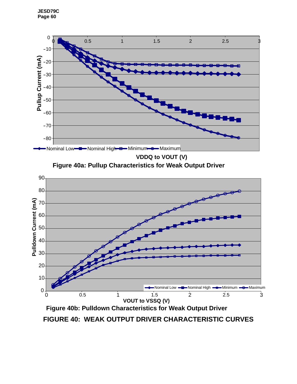

**VDDQ to VOUT (V)**

**Figure 40a: Pullup Characteristics for Weak Output Driver**



**FIGURE 40: WEAK OUTPUT DRIVER CHARACTERISTIC CURVES**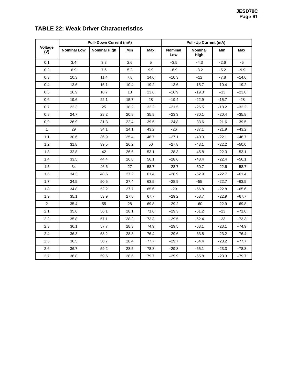|                | <b>Pull-Down Current (mA)</b> |                     |      | <b>Pull-Up Current (mA)</b> |                       |                               |         |         |
|----------------|-------------------------------|---------------------|------|-----------------------------|-----------------------|-------------------------------|---------|---------|
| Voltage<br>(V) | <b>Nominal Low</b>            | <b>Nominal High</b> | Min  | Max                         | <b>Nominal</b><br>Low | <b>Nominal</b><br><b>High</b> | Min     | Max     |
| 0.1            | 3.4                           | 3.8                 | 2.6  | 5                           | $-3.5$                | $-4.3$                        | $-2.6$  | $-5$    |
| 0.2            | 6.9                           | 7.6                 | 5.2  | 9.9                         | $-6.9$                | $-8.2$                        | $-5.2$  | $-9.9$  |
| 0.3            | 10.3                          | 11.4                | 7.8  | 14.6                        | $-10.3$               | $-12$                         | $-7.8$  | -14.6   |
| 0.4            | 13.6                          | 15.1                | 10.4 | 19.2                        | $-13.6$               | $-15.7$                       | $-10.4$ | -19.2   |
| 0.5            | 16.9                          | 18.7                | 13   | 23.6                        | $-16.9$               | $-19.3$                       | $-13$   | $-23.6$ |
| 0.6            | 19.6                          | 22.1                | 15.7 | 28                          | $-19.4$               | $-22.9$                       | $-15.7$ | -28     |
| 0.7            | 22.3                          | 25                  | 18.2 | 32.2                        | $-21.5$               | $-26.5$                       | $-18.2$ | -32.2   |
| 0.8            | 24.7                          | 28.2                | 20.8 | 35.8                        | $-23.3$               | $-30.1$                       | $-20.4$ | -35.8   |
| 0.9            | 26.9                          | 31.3                | 22.4 | 39.5                        | $-24.8$               | $-33.6$                       | $-21.6$ | $-39.5$ |
| 1              | 29                            | 34.1                | 24.1 | 43.2                        | $-26$                 | $-37.1$                       | $-21.9$ | $-43.2$ |
| 1.1            | 30.6                          | 36.9                | 25.4 | 46.7                        | $-27.1$               | $-40.3$                       | $-22.1$ | $-46.7$ |
| 1.2            | 31.8                          | 39.5                | 26.2 | 50                          | $-27.8$               | $-43.1$                       | $-22.2$ | $-50.0$ |
| 1.3            | 32.8                          | 42                  | 26.6 | 53.1                        | $-28.3$               | $-45.8$                       | $-22.3$ | $-53.1$ |
| 1.4            | 33.5                          | 44.4                | 26.8 | 56.1                        | $-28.6$               | $-48.4$                       | $-22.4$ | -56.1   |
| 1.5            | 34                            | 46.6                | 27   | 58.7                        | $-28.7$               | $-50.7$                       | $-22.6$ | $-58.7$ |
| 1.6            | 34.3                          | 48.6                | 27.2 | 61.4                        | $-28.9$               | $-52.9$                       | $-22.7$ | -61.4   |
| 1.7            | 34.5                          | 50.5                | 27.4 | 63.5                        | $-28.9$               | $-55$                         | $-22.7$ | $-63.5$ |
| 1.8            | 34.8                          | 52.2                | 27.7 | 65.6                        | $-29$                 | $-56.8$                       | $-22.8$ | -65.6   |
| 1.9            | 35.1                          | 53.9                | 27.8 | 67.7                        | $-29.2$               | $-58.7$                       | $-22.9$ | $-67.7$ |
| $\overline{2}$ | 35.4                          | 55                  | 28   | 69.8                        | $-29.2$               | -60                           | $-22.9$ | -69.8   |
| 2.1            | 35.6                          | 56.1                | 28.1 | 71.6                        | $-29.3$               | $-61.2$                       | $-23$   | $-71.6$ |
| 2.2            | 35.8                          | 57.1                | 28.2 | 73.3                        | $-29.5$               | $-62.4$                       | $-23$   | $-73.3$ |
| 2.3            | 36.1                          | 57.7                | 28.3 | 74.9                        | $-29.5$               | $-63.1$                       | $-23.1$ | -74.9   |
| 2.4            | 36.3                          | 58.2                | 28.3 | 76.4                        | -29.6                 | $-63.8$                       | -23.2   | -76.4   |
| 2.5            | 36.5                          | 58.7                | 28.4 | 77.7                        | $-29.7$               | $-64.4$                       | $-23.2$ | $-77.7$ |
| 2.6            | 36.7                          | 59.2                | 28.5 | 78.8                        | $-29.8$               | $-65.1$                       | $-23.3$ | -78.8   |
| 2.7            | 36.8                          | 59.6                | 28.6 | 79.7                        | $-29.9$               | $-65.8$                       | $-23.3$ | $-79.7$ |

# **TABLE 22: Weak Driver Characteristics**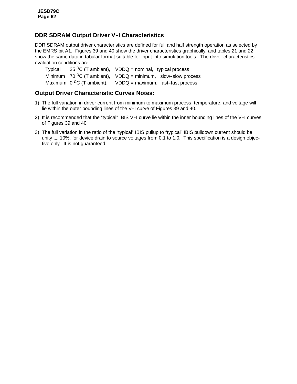## **DDR SDRAM Output Driver V-I Characteristics**

DDR SDRAM output driver characteristics are defined for full and half strength operation as selected by the EMRS bit A1. Figures 39 and 40 show the driver characteristics graphically, and tables 21 and 22 show the same data in tabular format suitable for input into simulation tools. The driver characteristics evaluation conditions are:

Typical  $25 \,^{\circ}\text{C}$  (T ambient), VDDQ = nominal, typical process Minimum 70  $^{\circ}$ C (T ambient), VDDQ = minimum, slow-slow process Maximum  $0^{\circ}$ C (T ambient), VDDQ = maximum, fast-fast process

## **Output Driver Characteristic Curves Notes:**

- 1) The full variation in driver current from minimum to maximum process, temperature, and voltage will lie within the outer bounding lines of the V-I curve of Figures 39 and 40.
- 2) It is recommended that the "typical" IBIS V-I curve lie within the inner bounding lines of the V-I curves of Figures 39 and 40.
- 3) The full variation in the ratio of the "typical" IBIS pullup to "typical" IBIS pulldown current should be unity  $\pm$  10%, for device drain to source voltages from 0.1 to 1.0. This specification is a design objective only. It is not guaranteed.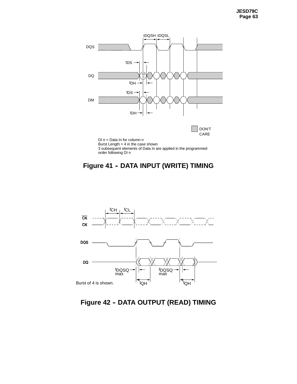





**Figure 42 - DATA OUTPUT (READ) TIMING**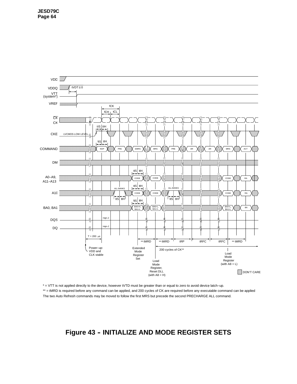

\* = VTT is not applied directly to the device, however tVTD must be greater than or equal to zero to avoid device latch--up. .

\*\* = tMRD is required before any command can be applied, and 200 cycles of CK are required before any executable command can be applied The two Auto Refresh commands may be moved to follow the first MRS but precede the second PRECHARGE ALL command.

# **Figure 43 - INITIALIZE AND MODE REGISTER SETS**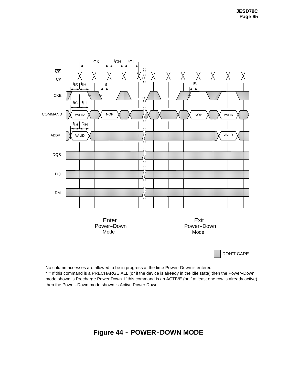

No column accesses are allowed to be in progress at the time Power--Down is entered

\* = If this command is a PRECHARGE ALL (or if the device is already in the idle state) then the Power--Down mode shown is Precharge Power Down. If this command is an ACTIVE (or if at least one row is already active) then the Power-Down mode shown is Active Power Down.

# **Figure 44 - POWER-DOWN MODE**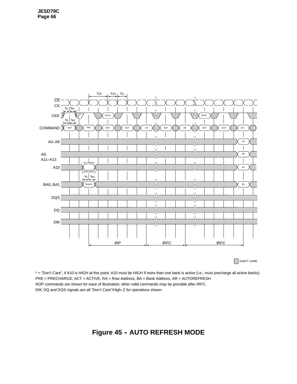

DON'T CARE

\* = "Don't Care", if A10 is HIGH at this point; A10 must be HIGH if more than one bank is active (i.e., must precharge all active banks) PRE = PRECHARGE, ACT = ACTIVE, RA = Row Address, BA = Bank Address, AR = AUTOREFRESH NOP commands are shown for ease of illustration; other valid commands may be possible after tRFC. DM, DQ and DQS signals are all "Don't Care"/High-Z for operations shown

# **Figure 45 - AUTO REFRESH MODE**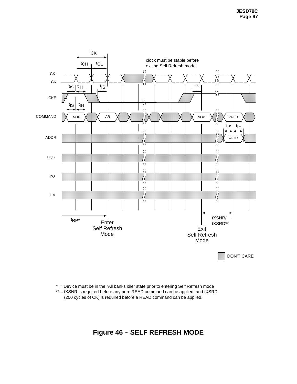

\* = Device must be in the "All banks idle" state prior to entering Self Refresh mode

\*\* = tXSNR is required before any non-READ command can be applied, and tXSRD (200 cycles of CK) is required before a READ command can be applied.

# **Figure 46 - SELF REFRESH MODE**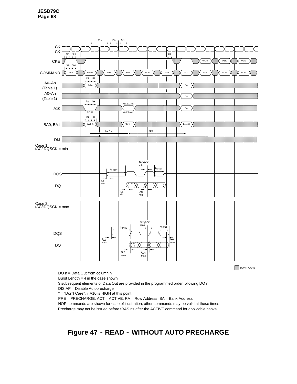

3 subsequent elements of Data Out are provided in the programmed order following DO n DIS AP = Disable Autoprecharge

\* = "Don't Care", if A10 is HIGH at this point

PRE = PRECHARGE, ACT = ACTIVE, RA = Row Address, BA = Bank Address

NOP commands are shown for ease of illustration; other commands may be valid at these times Precharge may not be issued before tRAS ns after the ACTIVE command for applicable banks.

### **Figure 47 - READ - WITHOUT AUTO PRECHARGE**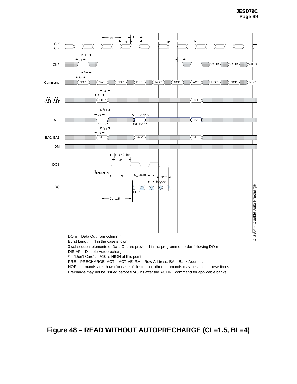

Precharge may not be issued before tRAS ns after the ACTIVE command for applicable banks.

Figure 48 - READ WITHOUT AUTOPRECHARGE (CL=1.5, BL=4)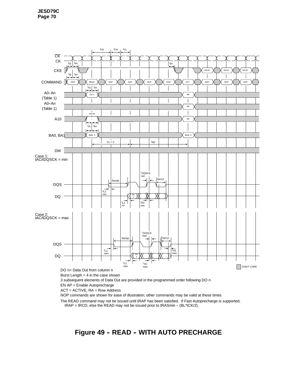

EN AP = Enable Autoprecharge

ACT = ACTIVE, RA = Row Address

NOP commands are shown for ease of illustration; other commands may be valid at these times

The READ command may not be issued until tRAP has been satisfied. If Fast Autoprecharge is supported,

 $tRAP = tRCD$ , else the READ may not be issued prior to  $tRASmin - (BL<sup>*</sup>tCK/2)$ .

# **Figure 49 - READ - WITH AUTO PRECHARGE**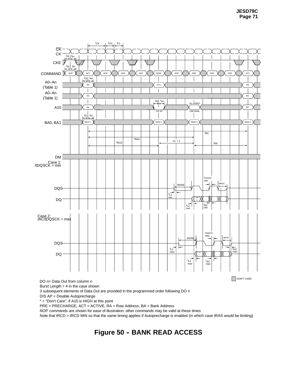

Burst Length  $= 4$  in the case shown

3 subsequent elements of Data Out are provided in the programmed order following DO n

DIS AP = Disable Autoprecharge

\* = "Don't Care", if A10 is HIGH at this point

PRE = PRECHARGE, ACT = ACTIVE, RA = Row Address, BA = Bank Address

NOP commands are shown for ease of illustration; other commands may be valid at these times

Note that tRCD > tRCD MIN so that the same timing applies if Autoprecharge is enabled (in which case tRAS would be limiting)

### **Figure 50 -- BANK READ ACCESS**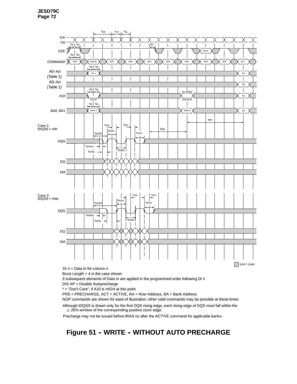

Burst Length  $= 4$  in the case shown

3 subsequent elements of Data In are applied in the programmed order following DI n

DIS AP = Disable Autoprecharge

\* = "Don't Care", if A10 is HIGH at this point

PRE = PRECHARGE, ACT = ACTIVE, RA = Row Address, BA = Bank Address

NOP commands are shown for ease of illustration; other valid commands may be possible at these times

Although tDQSS is drawn only for the first DQS rising edge, each rising edge of DQS must fall within the  $\pm$  25% window of the corresponding positive clock edge.

Precharge may not be issued before tRAS ns after the ACTIVE command for applicable banks.

### **Figure 51 - WRITE - WITHOUT AUTO PRECHARGE**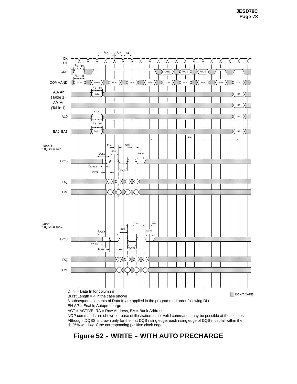

NOP commands are shown for ease of illustration; other valid commands may be possible at these times Although tDQSS is drawn only for the first DQS rising edge, each rising edge of DQS must fall within the  $\pm$  25% window of the corresponding positive clock edge.

### **Figure 52 - WRITE - WITH AUTO PRECHARGE**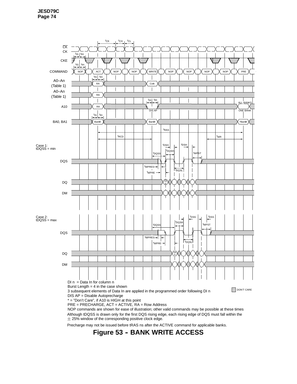

Precharge may not be issued before tRAS ns after the ACTIVE command for applicable banks.

**Figure 53 -- BANK WRITE ACCESS**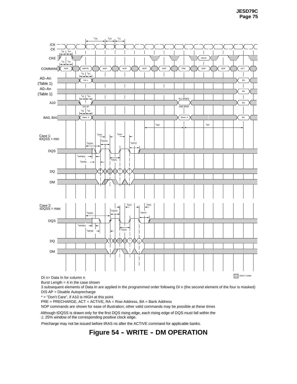

Burst Length  $= 4$  in the case shown

3 subsequent elements of Data In are applied in the programmed order following DI n (the second element of the four is masked) DIS AP = Disable Autoprecharge

\* = "Don't Care", if A10 is HIGH at this point

PRE = PRECHARGE, ACT = ACTIVE, RA = Row Address, BA = Bank Address

NOP commands are shown for ease of illustration; other valid commands may be possible at these times

Although tDQSS is drawn only for the first DQS rising edge, each rising edge of DQS must fall within the  $\pm$  25% window of the corresponding positive clock edge.

Precharge may not be issued before tRAS ns after the ACTIVE command for applicable banks.

**Figure 54 - WRITE - DM OPERATION**